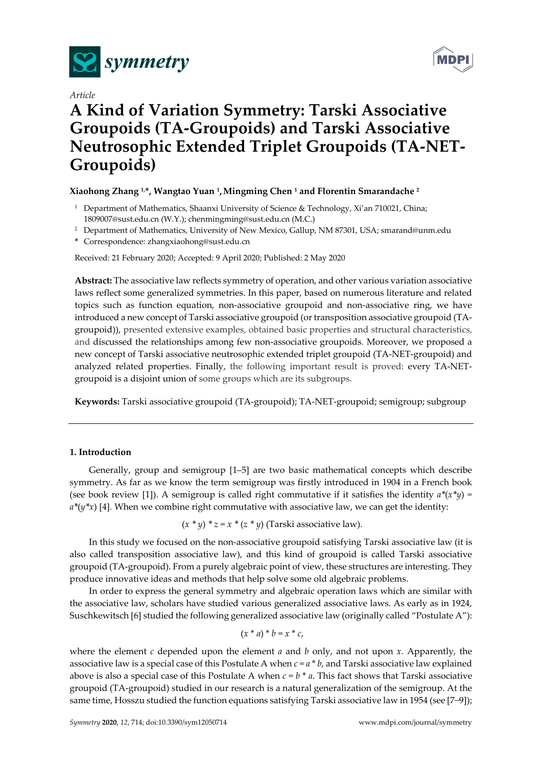





# **A Kind of Variation Symmetry: Tarski Associative Groupoids (TA-Groupoids) and Tarski Associative Neutrosophic Extended Triplet Groupoids (TA-NET-Groupoids)**

# **Xiaohong Zhang 1,\*, Wangtao Yuan 1,Mingming Chen 1 and Florentin Smarandache 2**

- <sup>1</sup> Department of Mathematics, Shaanxi University of Science & Technology, Xi'an 710021, China; 1809007@sust.edu.cn (W.Y.); chenmingming@sust.edu.cn (M.C.)
- <sup>2</sup> Department of Mathematics, University of New Mexico, Gallup, NM 87301, USA; smarand@unm.edu
- **\*** Correspondence: zhangxiaohong@sust.edu.cn

Received: 21 February 2020; Accepted: 9 April 2020; Published: 2 May 2020

**Abstract:** The associative law reflects symmetry of operation, and other various variation associative laws reflect some generalized symmetries. In this paper, based on numerous literature and related topics such as function equation, non-associative groupoid and non-associative ring, we have introduced a new concept of Tarski associative groupoid (or transposition associative groupoid (TAgroupoid)), presented extensive examples, obtained basic properties and structural characteristics, and discussed the relationships among few non-associative groupoids. Moreover, we proposed a new concept of Tarski associative neutrosophic extended triplet groupoid (TA-NET-groupoid) and analyzed related properties. Finally, the following important result is proved: every TA-NETgroupoid is a disjoint union of some groups which are its subgroups.

**Keywords:** Tarski associative groupoid (TA-groupoid); TA-NET-groupoid; semigroup; subgroup

## **1. Introduction**

Generally, group and semigroup [1–5] are two basic mathematical concepts which describe symmetry. As far as we know the term semigroup was firstly introduced in 1904 in a French book (see book review [1]). A semigroup is called right commutative if it satisfies the identity  $a^*(x^*y) =$  $a^*(y^*x)$  [4]*.* When we combine right commutative with associative law, we can get the identity:

 $(x * y) * z = x * (z * y)$  (Tarski associative law).

In this study we focused on the non-associative groupoid satisfying Tarski associative law (it is also called transposition associative law), and this kind of groupoid is called Tarski associative groupoid (TA-groupoid). From a purely algebraic point of view, these structures are interesting. They produce innovative ideas and methods that help solve some old algebraic problems.

In order to express the general symmetry and algebraic operation laws which are similar with the associative law, scholars have studied various generalized associative laws. As early as in 1924, Suschkewitsch [6] studied the following generalized associative law (originally called "Postulate A"):

$$
(x * a) * b = x * c,
$$

where the element *c* depended upon the element *a* and *b* only, and not upon *x*. Apparently, the associative law is a special case of this Postulate A when  $c = a * b$ , and Tarski associative law explained above is also a special case of this Postulate A when  $c = b * a$ . This fact shows that Tarski associative groupoid (TA-groupoid) studied in our research is a natural generalization of the semigroup. At the same time, Hosszu studied the function equations satisfying Tarski associative law in 1954 (see [7−9]);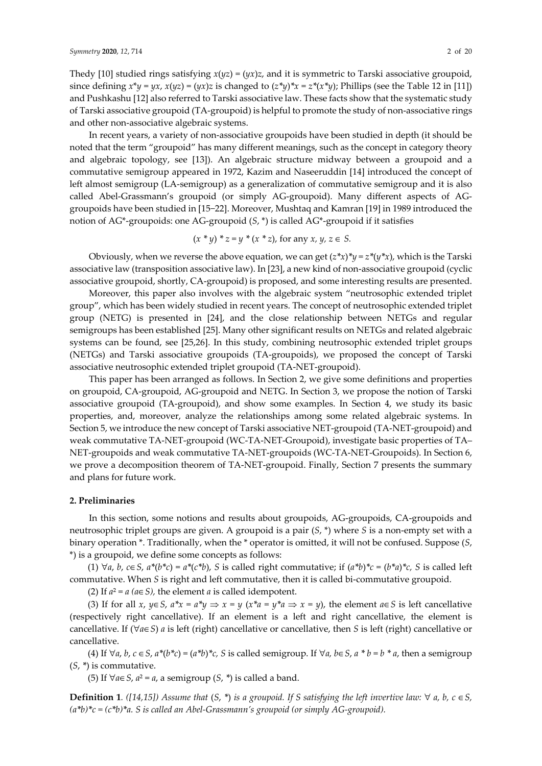Thedy [10] studied rings satisfying  $x(yz) = (yx)z$ , and it is symmetric to Tarski associative groupoid, since defining  $x^*y = yx$ ,  $x(yz) = (yx)z$  is changed to  $(z^*y)^*x = z^*(x^*y)$ ; Phillips (see the Table 12 in [11]) and Pushkashu [12] also referred to Tarski associative law. These facts show that the systematic study of Tarski associative groupoid (TA-groupoid) is helpful to promote the study of non-associative rings and other non-associative algebraic systems.

In recent years, a variety of non-associative groupoids have been studied in depth (it should be noted that the term "groupoid" has many different meanings, such as the concept in category theory and algebraic topology, see [13]). An algebraic structure midway between a groupoid and a commutative semigroup appeared in 1972, Kazim and Naseeruddin [14] introduced the concept of left almost semigroup (LA-semigroup) as a generalization of commutative semigroup and it is also called Abel-Grassmann's groupoid (or simply AG-groupoid). Many different aspects of AGgroupoids have been studied in [15−22]. Moreover, Mushtaq and Kamran [19] in 1989 introduced the notion of AG\*-groupoids: one AG-groupoid (*S*, \*) is called AG\*-groupoid if it satisfies

$$
(x * y) * z = y * (x * z)
$$
, for any  $x, y, z \in S$ .

Obviously, when we reverse the above equation, we can get  $(z^*x)^*y = z^*(y^*x)$ , which is the Tarski associative law (transposition associative law). In [23], a new kind of non-associative groupoid (cyclic associative groupoid, shortly, CA-groupoid) is proposed, and some interesting results are presented.

Moreover, this paper also involves with the algebraic system "neutrosophic extended triplet group", which has been widely studied in recent years. The concept of neutrosophic extended triplet group (NETG) is presented in [24], and the close relationship between NETGs and regular semigroups has been established [25]. Many other significant results on NETGs and related algebraic systems can be found, see [25,26]. In this study, combining neutrosophic extended triplet groups (NETGs) and Tarski associative groupoids (TA-groupoids), we proposed the concept of Tarski associative neutrosophic extended triplet groupoid (TA-NET-groupoid).

This paper has been arranged as follows. In Section 2, we give some definitions and properties on groupoid, CA-groupoid, AG-groupoid and NETG. In Section 3, we propose the notion of Tarski associative groupoid (TA-groupoid), and show some examples. In Section 4, we study its basic properties, and, moreover, analyze the relationships among some related algebraic systems. In Section 5, we introduce the new concept of Tarski associative NET-groupoid (TA-NET-groupoid) and weak commutative TA-NET-groupoid (WC-TA-NET-Groupoid), investigate basic properties of TA– NET-groupoids and weak commutative TA-NET-groupoids (WC-TA-NET-Groupoids). In Section 6, we prove a decomposition theorem of TA-NET-groupoid. Finally, Section 7 presents the summary and plans for future work.

#### **2. Preliminaries**

In this section, some notions and results about groupoids, AG-groupoids, CA-groupoids and neutrosophic triplet groups are given. A groupoid is a pair (*S*, \*) where *S* is a non-empty set with a binary operation \*. Traditionally, when the \* operator is omitted, it will not be confused. Suppose (*S*, \*) is a groupoid, we define some concepts as follows:

(1)  $\forall a, b, c \in S$ ,  $a^*(b^*c) = a^*(c^*b)$ , S is called right commutative; if  $(a^*b)^*c = (b^*a)^*c$ , S is called left commutative. When *S* is right and left commutative, then it is called bi-commutative groupoid.

(2) If  $a^2 = a$  ( $a \in S$ ), the element *a* is called idempotent.

(3) If for all x,  $y \in S$ ,  $a^*x = a^*y \implies x = y$  ( $x^*a = y^*a \implies x = y$ ), the element  $a \in S$  is left cancellative (respectively right cancellative). If an element is a left and right cancellative, the element is cancellative. If (∀*a*∈*S*) *a* is left (right) cancellative or cancellative, then *S* is left (right) cancellative or cancellative.

(4) If  $\forall a, b, c \in S$ ,  $a^*(b^*c) = (a^*b)^*c$ , S is called semigroup. If  $\forall a, b \in S$ ,  $a^*b = b^*a$ , then a semigroup (*S*, *\**) is commutative.

(5) If ∀*a*∈*S*, *a*² = *a*, a semigroup (*S*, *\**) is called a band.

**Definition 1***.* ([14,15]) Assume that  $(S, * )$  is a groupoid. If S satisfying the left invertive law: ∀ a, b, c ∈ S, *(a\*b)\*c = (c\*b)\*a. S is called an Abel-Grassmann's groupoid (or simply AG-groupoid).*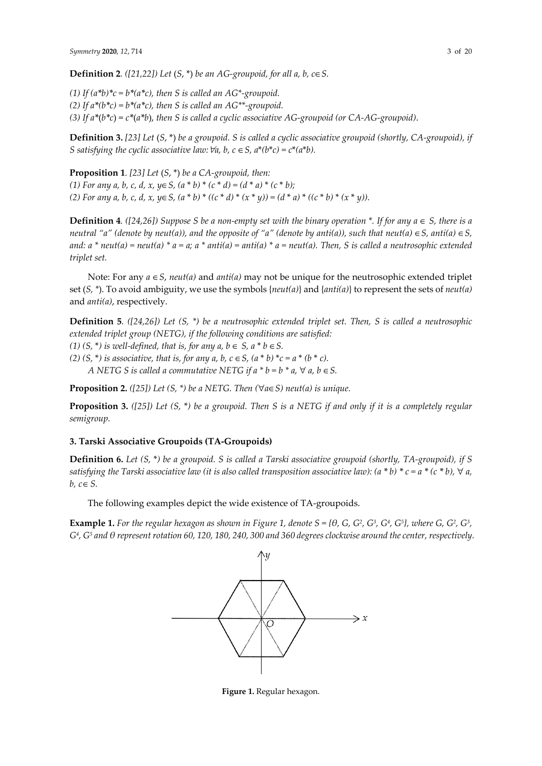**Definition 2***.* ([21,22]) Let  $(S, * )$  be an AG-groupoid, for all a, b,  $c \in S$ .

*(1)* If  $(a^*b)^*c = b^*(a^*c)$ , then *S* is called an *AG*\*-groupoid. *(2)* If  $a^*(b^*c) = b^*(a^*c)$ , then S is called an AG\*\*-groupoid. *(3) If a\**(*b\*c*) = *c\**(*a\*b*), *then S is called a cyclic associative AG-groupoid (or CA-AG-groupoid)*.

**Definition 3.** *[23] Let* (*S*, \*) *be a groupoid. S is called a cyclic associative groupoid (shortly, CA-groupoid), if S satisfying the cyclic associative law:*  $\forall a, b, c \in S$ ,  $a^*(b^*c) = c^*(a^*b)$ .

**Proposition 1***. [23] Let* (*S*, \*) *be a CA-groupoid, then: (1) For any a, b, c, d, x, y*∈*S, (a* \* *b)* \* *(c* \* *d) = (d* \* *a)* \* *(c* \* *b); (2) For any a, b, c, d, x, y*∈*S, (a* \* *b)* \* *((c* \* *d)* \* *(x* \* *y)) = (d* \* *a)* \* *((c* \* *b)* \* *(x* \* *y)).* 

**Definition 4***.* ([24,26]) Suppose S be a non-empty set with the binary operation \*. If for any  $a \in S$ , there is a *neutral "a" (denote by neut(a)), and the opposite of "a" (denote by anti(a)), such that neut(a)*  $\in$ *S, anti(a)*  $\in$ *S,* and:  $a^*$  neut(a) = neut(a)  $* a = a$ ;  $a^*$  anti(a) = anti(a)  $* a =$  neut(a). Then, S is called a neutrosophic extended *triplet set.* 

Note: For any *a* ∈*S*, *neut(a)* and *anti(a)* may not be unique for the neutrosophic extended triplet set (*S, \**). To avoid ambiguity, we use the symbols {*neut(a)*} and {*anti(a)*} to represent the sets of *neut(a)* and *anti(a)*, respectively.

**Definition 5***. ([24,26]) Let (S, \*) be a neutrosophic extended triplet set. Then, S is called a neutrosophic extended triplet group (NETG), if the following conditions are satisfied: (1)*  $(S, *)$  *is well-defined, that is, for any a, b*  $\in S$ *, a*  $*$  *b*  $\in S$ *.* 

*(2)* (*S*, <sup>\*</sup>*) is associative, that is, for any a, b, c ∈ <i>S*,  $(a * b) * c = a * (b * c)$ .

*A* NETG *S* is called a commutative NETG if  $a * b = b * a$ ,  $\forall a, b \in S$ .

**Proposition 2.** *([25])* Let  $(S, * )$  be a NETG. Then  $(\forall a \in S)$  neut(a) is unique.

**Proposition 3.** *([25]) Let (S,* \**) be a groupoid. Then S is a NETG if and only if it is a completely regular semigroup.* 

## **3. Tarski Associative Groupoids (TA-Groupoids)**

**Definition 6.** *Let (S,* \**) be a groupoid. S is called a Tarski associative groupoid (shortly, TA-groupoid), if S satisfying the Tarski associative law (it is also called transposition associative law):*  $(a * b) * c = a * (c * b)$ ,  $\forall a$ ,  $b, c \in S$ .

The following examples depict the wide existence of TA-groupoids.

**Example 1.** For the regular hexagon as shown in Figure 1, denote  $S = \{\theta, G, G^2, G^3, G^4, G^5\}$ , where G,  $G^2, G^3$ , *G4, G5 and θ represent rotation 60, 120, 180, 240, 300 and 360 degrees clockwise around the center, respectively.* 



**Figure 1.** Regular hexagon.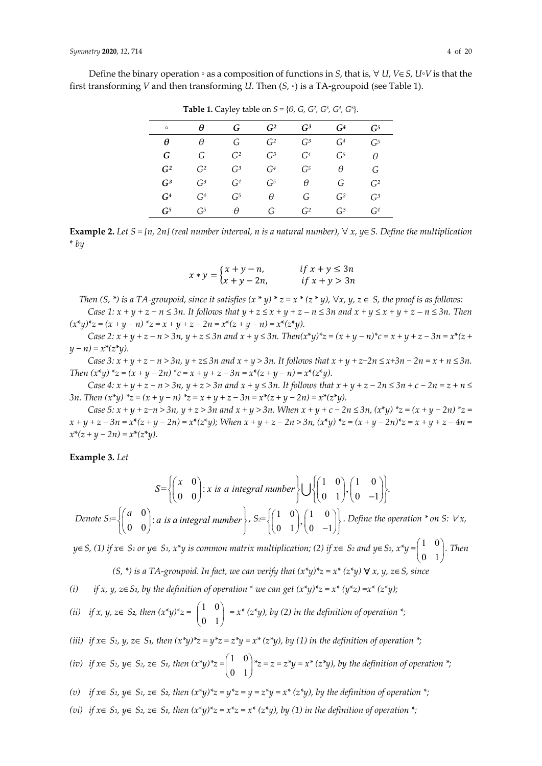Define the binary operation ◦ as a composition of functions in *S*, that is, ∀ *U*, *V*∈*S*, *U*◦*V* is that the first transforming *V* and then transforming *U*. Then (*S*, ◦) is a TA-groupoid (see Table 1).

|                 |                 | --- <i>,</i> -- <i>,</i> |                 | $(2)$ $-2$ $-1$ $-1$ $-1$ |                 |                 |
|-----------------|-----------------|--------------------------|-----------------|---------------------------|-----------------|-----------------|
| $\circ$         | θ               | G                        | G <sup>2</sup>  | G <sup>3</sup>            | G <sup>4</sup>  | $\mathcal{C}^5$ |
| θ               | θ               | G                        | G <sup>2</sup>  | G <sup>3</sup>            | G <sup>4</sup>  | $\mathcal{G}^5$ |
| G               | G               | $\mathcal{C}^2$          | $\mathcal{G}^3$ | $\mathcal{C}^4$           | G <sub>5</sub>  | θ               |
| G <sup>2</sup>  | $\mathcal{C}^2$ | G <sup>3</sup>           | $\mathcal{C}^4$ | G <sub>5</sub>            | θ               | G               |
| G <sup>3</sup>  | $\mathcal{C}^3$ | $\mathcal{C}^4$          | G <sub>5</sub>  | θ                         | G               | $\mathsf{G}^2$  |
| G <sup>4</sup>  | G <sup>4</sup>  | G <sub>5</sub>           | θ               | G                         | $\mathcal{C}^2$ | $\mathcal{G}^3$ |
| $\mathcal{G}^5$ | $\mathcal{C}^5$ | A                        | G               | $\mathcal{C}^2$           | $\mathcal{C}^3$ | $\mathsf{G}^4$  |

**Table 1.** Cayley table on  $S = \{\theta, G, G^2, G^3, G^4, G^5\}$ 

**Example 2.** *Let S = [n, 2n] (real number interval, n is a natural number),* ∀ *x, y*∈*S. Define the multiplication*  \* *by* 

$$
x * y = \begin{cases} x + y - n, & \text{if } x + y \le 3n \\ x + y - 2n, & \text{if } x + y > 3n \end{cases}
$$

*Then*  $(S, * )$  *is a TA-groupoid, since it satisfies*  $(x * y) * z = x * (z * y)$ ,  $\forall x, y, z \in S$ , the proof is as follows:

*Case 1:*  $x + y + z - n \leq 3n$ . It follows that  $y + z \leq x + y + z - n \leq 3n$  and  $x + y \leq x + y + z - n \leq 3n$ . Then  $(x^*y)^*z = (x + y - n)^*z = x + y + z - 2n = x^*(z + y - n) = x^*(z^*y).$ 

*Case* 2:  $x + y + z - n > 3n$ ,  $y + z \le 3n$  and  $x + y \le 3n$ . Then $(x^*y)^*z = (x + y - n)^*c = x + y + z - 3n = x^*(z + 1)$ *y − n) = x*\**(z*\**y).* 

*Case 3: x + y + z − n > 3n, y + z≤ 3n and x + y > 3n. It follows that x + y + z−2n ≤ x+3n − 2n = x + n ≤ 3n. Then*  $(x^*y)^*z = (x + y - 2n)^*c = x + y + z - 3n = x^*(z + y - n) = x^*(z^*y)$ .

*Case*  $4: x + y + z - n > 3n$ ,  $y + z > 3n$  and  $x + y \leq 3n$ . It follows that  $x + y + z - 2n \leq 3n + c - 2n = z + n \leq z + n$ *3n. Then*  $(x^*y)^*z = (x + y − n)^*z = x + y + z − 3n = x^*(z + y − 2n) = x^*(z^*y)$ .

*Case 5: x + y + z−n > 3n, y + z > 3n and x + y > 3n. When x + y + c − 2n ≤ 3n*, *(x*\**y) \*z = (x + y − 2n) \*z =*   $x + y + z - 3n = x^{*}(z + y - 2n) = x^{*}(z^{*}y)$ ; When  $x + y + z - 2n > 3n$ ,  $(x^{*}y)^{*}z = (x + y - 2n)^{*}z = x + y + z - 4n = 0$ *x*\**(z + y − 2n) = x*\**(z*\**y).*

**Example 3.** *Let* 

$$
S = \left\{ \begin{pmatrix} x & 0 \\ 0 & 0 \end{pmatrix} : x \text{ is a integral number} \right\} \bigcup \left\{ \begin{pmatrix} 1 & 0 \\ 0 & 1 \end{pmatrix}, \begin{pmatrix} 1 & 0 \\ 0 & -1 \end{pmatrix} \right\}.
$$

*Denote*  $S_1 = \left\{ \begin{pmatrix} a & 0 \\ 0 & 0 \end{pmatrix} : a \right\}$ 0 0  $\left\{\begin{pmatrix} a & 0 \\ 0 & 0 \end{pmatrix}: a \text{ is a integral number}\right\}, S_2=\left\{\begin{pmatrix} 1 & 0 \\ 0 & 1 \end{pmatrix}, \begin{pmatrix} 1 & 0 \\ 0 & -1 \end{pmatrix}\right\}.$  *Define the operation* \* on S:  $\forall x$ ,

*<sup>y</sup>*∈*S, (1) if x*∈ *S1 or y*∈ *S1, x\*y is common matrix multiplication; (2) if x*<sup>∈</sup> *S2 and y*∈*S2, x\*y =* 1 0  $\begin{pmatrix} 1 & 0 \\ 0 & 1 \end{pmatrix}$ . Then

*(S, \*) is a TA-groupoid. In fact, we can verify that*  $(x^*y)^*z = x^* (z^*y)$  $\forall$  *x, y, z∈ <i>S, since* 

*(i) if x, y, z*∈*S1, by the definition of operation \* we can get (x\*y)\*z = x\* (y\*z) =x\* (z\*y);* 

(ii) if 
$$
x, y, z \in S_2
$$
, then  $(x^*y)^*z = \begin{pmatrix} 1 & 0 \\ 0 & 1 \end{pmatrix} = x^* (z^*y), by (2)$  in the definition of operation  $*$ ;

(*iii*) *if*  $x \in S_2$ ,  $y$ ,  $z \in S_1$ , then  $(x^*y)^*z = y^*z = z^*y = x^* (z^*y)$ , by (1) in the definition of operation  $^*$ ;

(*iv*) if 
$$
x \in S_2
$$
,  $y \in S_2$ ,  $z \in S_1$ , then  $(x^*y)^*z = \begin{pmatrix} 1 & 0 \ 0 & 1 \end{pmatrix} z = z = z^*y = x^* (z^*y)$ , by the definition of operation  $*$ ;

*(v) if x*∈ *S2, y*∈ *S1, z*∈ *S2, then (x\*y)\*z = y\*z = y = z\*y = x\* (z\*y), by the definition of operation \*;* 

(*vi*) *if*  $x \in S_1$ ,  $y \in S_2$ ,  $z \in S_1$ , then  $(x^*y)^*z = x^*z = x^* (z^*y)$ , by (1) in the definition of operation  $^*$ ;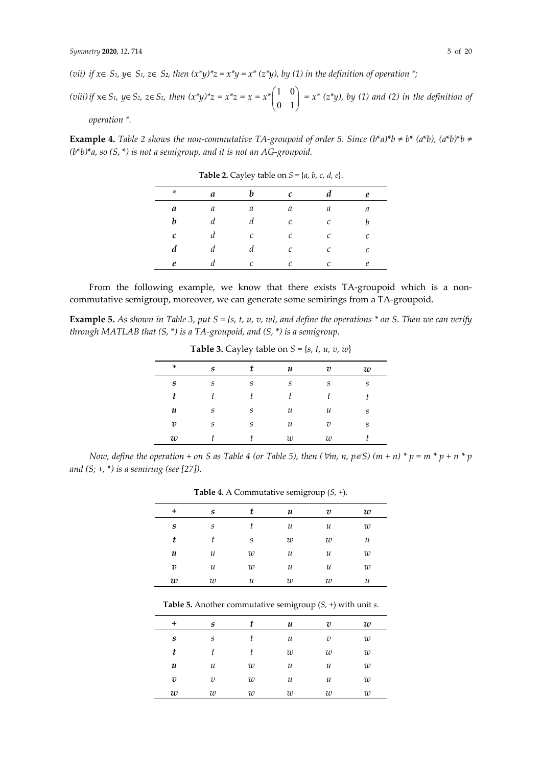j.

(vii) if  $x \in S_1$ ,  $y \in S_1$ ,  $z \in S_2$ , then  $(x^*y)^*z = x^*y = x^* (z^*y)$ , by (1) in the definition of operation  $^*$ ;

*(viii) if*  $x∈S_1$ ,  $y∈S_2$ ,  $z∈S_2$ , then  $(x*y)*z = x*z = x *_{1}^{2} \binom{1 \ 0 \ \frac{1}{z \ 0 \ 0 \ z \ z}$  $\begin{pmatrix} 1 & 0 \\ 0 & 1 \end{pmatrix}$  =  $x^*$  ( $z^*y$ ), by (1) and (2) in the definition of *operation \*.* 

**Example 4.** Table 2 shows the non-commutative TA-groupoid of order 5. Since  $(b^*a)^*b \neq b^*$   $(a^*b)$ ,  $(a^*b)^*b \neq b^*$ *(b*\**b)*\**a, so (S,* \**) is not a semigroup, and it is not an AG-groupoid.* 

| $\ast$ | a | h                 | $\mathcal{C}_{0}$ | $\boldsymbol{d}$ | e                 |
|--------|---|-------------------|-------------------|------------------|-------------------|
| a      | a | a                 | a                 | a                | a                 |
| b      | d | d                 | $\mathcal C$      | $\mathcal C$     | h                 |
| с      | d | $\mathcal{C}_{0}$ | $\mathcal C$      | $\mathcal C$     | $\mathcal{C}_{0}$ |
| d      | d | d                 | $\mathcal{C}_{0}$ | $\mathcal C$     | $\mathcal{C}_{0}$ |
| e      |   | $\mathcal{C}_{0}$ | C                 | C                | e                 |

**Table 2.** Cayley table on  $S = \{a, b, c, d, e\}.$ 

From the following example, we know that there exists TA-groupoid which is a noncommutative semigroup, moreover, we can generate some semirings from a TA-groupoid.

**Example 5.** *As shown in Table 3, put S = {s, t, u, v, w}, and define the operations \* on S. Then we can verify through MATLAB that (S,* \**) is a TA-groupoid, and (S,* \**) is a semigroup.* 

| *                | S |   | u                          | $\overline{v}$             | w |
|------------------|---|---|----------------------------|----------------------------|---|
| $\boldsymbol{s}$ | S | S | S                          | S                          | S |
| t                |   |   |                            |                            |   |
| u                | S | S | $\boldsymbol{\mathcal{U}}$ | $\boldsymbol{\mathcal{U}}$ | S |
| $\boldsymbol{v}$ | S | S | $\boldsymbol{u}$           | $\overline{v}$             | S |
| w                |   |   | w                          | w                          |   |
|                  |   |   |                            |                            |   |

**Table 3.** Cayley table on  $S = \{s, t, u, v, w\}$ 

*Now, define the operation + on S as Table 4 (or Table 5), then (* $\forall m, n, p \in S$ *) (m + n) \* p = m \* p + n \* p and (S; +, \*) is a semiring (see [27]).* 

|   |                  |                  | -                | . .              |   |
|---|------------------|------------------|------------------|------------------|---|
| ÷ | $\boldsymbol{s}$ | t                | u                | $\boldsymbol{v}$ | w |
| S | S                |                  | $\boldsymbol{u}$ | и                | w |
| t |                  | S                | w                | w                | и |
| u | и                | w                | и                | и                | w |
| υ | и                | w                | и                | и                | w |
| w | w                | $\boldsymbol{u}$ | w                | w                | и |

**Table 4.** A Commutative semigroup (*S, +*).

**Table 5.** Another commutative semigroup (*S, +*) with unit *s*.

| +                | $\boldsymbol{s}$ | t | u | $\overline{v}$ | w |
|------------------|------------------|---|---|----------------|---|
| $\boldsymbol{s}$ | S                |   | и | $\overline{v}$ | w |
| t                | t                | t | w | w              | w |
| u                | и                | w | и | и              | w |
| $\boldsymbol{v}$ | $\boldsymbol{v}$ | w | и | и              | w |
| w                | w                | w | w | w              | w |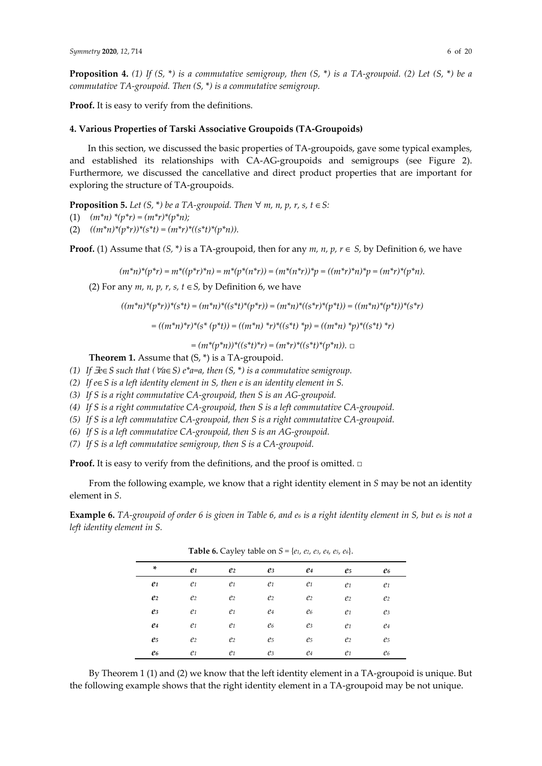**Proposition 4.** *(1) If (S,* \**) is a commutative semigroup, then (S,* \**) is a TA-groupoid. (2) Let (S,* \**) be a commutative TA-groupoid. Then (S,* \**) is a commutative semigroup.* 

**Proof.** It is easy to verify from the definitions.

## **4. Various Properties of Tarski Associative Groupoids (TA-Groupoids)**

In this section, we discussed the basic properties of TA-groupoids, gave some typical examples, and established its relationships with CA-AG-groupoids and semigroups (see Figure 2). Furthermore, we discussed the cancellative and direct product properties that are important for exploring the structure of TA-groupoids.

**Proposition 5.** *Let*  $(S, * )$  *be a TA-groupoid. Then*  $\forall$  *m, n, p, r, s, t*  $\in S$ :

- (1) *(m\*n) \*(p\*r) = (m\*r)\*(p\*n);*
- (2) *((m\*n)\*(p\*r))\*(s\*t) = (m\*r)\*((s\*t)\*(p\*n)).*

**Proof.** (1) Assume that  $(S, * )$  is a TA-groupoid, then for any  $m$ ,  $n$ ,  $p$ ,  $r \in S$ , by Definition 6, we have

 $(m^*n)^*(p^*r) = m^*((p^*r)^*n) = m^*(p^*(n^*r)) = (m^*(n^*r))^*p = ((m^*r)^*n)^*p = (m^*r)^*(p^*n).$ 

(2) For any  $m$ ,  $n$ ,  $p$ ,  $r$ ,  $s$ ,  $t \in S$ , by Definition 6, we have

$$
((m^*n)^*(p^*r))^*(s^*t) = (m^*n)^*((s^*t)^*(p^*r)) = (m^*n)^*((s^*r)^*(p^*t)) = ((m^*n)^*(p^*t))^*(s^*r)
$$
  
= 
$$
((m^*n)^*r)^*(s^*(p^*t)) = ((m^*n)^*r)^*((s^*t)^*p) = ((m^*n)^*p)^*((s^*t)^*r)
$$

*= (m\*(p\*n))\*((s\*t)\*r) = (m\*r)\*((s\*t)\*(p\*n)).* □

**Theorem 1.** Assume that (S, \*) is a TA-groupoid.

- *(1) If* ∃*e*∈*S such that (*∀*a*∈*S) e\*a=a, then (S,* \**) is a commutative semigroup.*
- *(2) If e*∈*S is a left identity element in S, then e is an identity element in S.*
- *(3) If S is a right commutative CA-groupoid, then S is an AG-groupoid.*
- *(4) If S is a right commutative CA-groupoid, then S is a left commutative CA-groupoid.*
- *(5) If S is a left commutative CA-groupoid, then S is a right commutative CA-groupoid.*
- *(6) If S is a left commutative CA-groupoid, then S is an AG-groupoid.*
- *(7) If S is a left commutative semigroup, then S is a CA-groupoid.*

**Proof.** It is easy to verify from the definitions, and the proof is omitted. □

From the following example, we know that a right identity element in *S* may be not an identity element in *S*.

**Example 6.** *TA-groupoid of order 6 is given in Table 6, and e6 is a right identity element in S, but e6 is not a left identity element in S.* 

| ×                | e <sub>1</sub> | e <sub>2</sub>      | e <sub>3</sub> | e4             | e <sub>5</sub> | e6               |  |
|------------------|----------------|---------------------|----------------|----------------|----------------|------------------|--|
| e <sub>1</sub>   | e <sub>1</sub> | e <sub>1</sub>      | e <sub>1</sub> | e <sub>1</sub> | $\ell$ 1       | $\mathfrak{e}_1$ |  |
| $\mathfrak{e}_2$ | e <sub>2</sub> | e <sub>2</sub>      | e <sub>2</sub> | $\ell$         | e <sub>2</sub> | e <sub>2</sub>   |  |
| $e_3$            | e <sub>1</sub> | $\ell$ <sup>1</sup> | $e_4$          | e6             | $\ell$ 1       | eз               |  |
| e4               | $\ell$ 1       | $\ell$ 1            | e6             | eз             | $\ell$ 1       | $e_4$            |  |
| e <sub>5</sub>   | e <sub>2</sub> | e <sub>2</sub>      | e <sub>5</sub> | e <sub>5</sub> | e <sub>2</sub> | e5               |  |
| e6               | $\ell$ 1       | $\mathfrak{e}_1$    | e <sub>3</sub> | e4             | $\ell$ 1       | e6               |  |

**Table 6.** Cayley table on *S =* {*e1, e2, e3, e4, e5, e6*}.

By Theorem 1 (1) and (2) we know that the left identity element in a TA-groupoid is unique. But the following example shows that the right identity element in a TA-groupoid may be not unique.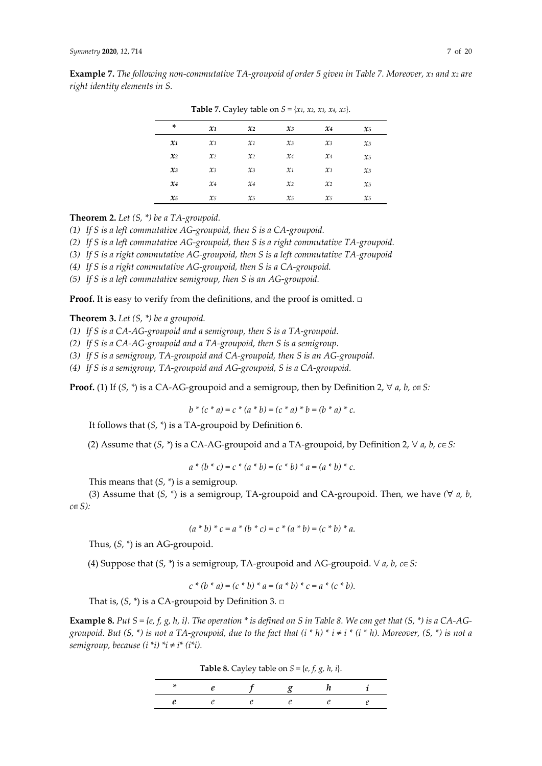|                 |                 | -               |                 |                 |                 |  |
|-----------------|-----------------|-----------------|-----------------|-----------------|-----------------|--|
| ×               | $\mathfrak{X}1$ | $\mathfrak{X}2$ | $\mathfrak{X}3$ | $x_4$           | $\mathfrak{X}5$ |  |
| $\mathbf{x}_1$  | $\mathcal{X}$ 1 | $\mathcal{X}$ 1 | $x_3$           | $x_3$           | $\chi_5$        |  |
| $\mathfrak{X}2$ | $\mathcal{X}$ 2 | $\chi_2$        | $x_4$           | $x_4$           | $x_{5}$         |  |
| $\chi_3$        | $\chi_3$        | $\chi_3$        | $\mathcal{X}$ 1 | $\mathcal{X}$ 1 | $x_5$           |  |
| $x_4$           | $x_4$           | $x_4$           | $\mathcal{X}$ 2 | $\mathcal{X}$ 2 | $x_{5}$         |  |
| $\mathfrak{X}5$ | $x_{5}$         | $x_{5}$         | $x_{5}$         | $\chi_5$        | $\chi_5$        |  |

**Table 7.** Cayley table on  $S = \{x_1, x_2, x_3, x_4, x_5\}.$ 

**Theorem 2.** *Let (S, \*) be a TA-groupoid.* 

*(1) If S is a left commutative AG-groupoid, then S is a CA-groupoid.* 

*(2) If S is a left commutative AG-groupoid, then S is a right commutative TA-groupoid.* 

*(3) If S is a right commutative AG-groupoid, then S is a left commutative TA-groupoid* 

- *(4) If S is a right commutative AG-groupoid, then S is a CA-groupoid.*
- *(5) If S is a left commutative semigroup, then S is an AG-groupoid.*

**Proof.** It is easy to verify from the definitions, and the proof is omitted. □

**Theorem 3.** *Let (S, \*) be a groupoid.* 

*(1) If S is a CA-AG-groupoid and a semigroup, then S is a TA-groupoid.* 

- *(2) If S is a CA-AG-groupoid and a TA-groupoid, then S is a semigroup.*
- *(3) If S is a semigroup, TA-groupoid and CA-groupoid, then S is an AG-groupoid.*
- *(4) If S is a semigroup, TA-groupoid and AG-groupoid, S is a CA-groupoid.*

**Proof.** (1) If  $(S, * )$  is a CA-AG-groupoid and a semigroup, then by Definition 2,  $\forall a, b, c \in S$ :

 $b * (c * a) = c * (a * b) = (c * a) * b = (b * a) * c.$ 

It follows that (*S*, *\**) is a TA-groupoid by Definition 6.

(2) Assume that  $(S, * )$  is a CA-AG-groupoid and a TA-groupoid, by Definition 2,  $\forall a, b, c \in S$ :

$$
a * (b * c) = c * (a * b) = (c * b) * a = (a * b) * c.
$$

This means that (*S*, *\**) is a semigroup*.*

(3) Assume that (*S*, *\**) is a semigroup, TA-groupoid and CA-groupoid. Then, we have *(*∀ *a, b, c*∈*S):* 

$$
(a * b) * c = a * (b * c) = c * (a * b) = (c * b) * a.
$$

Thus, (*S*, *\**) is an AG-groupoid.

(4) Suppose that (*S*, *\**) is a semigroup, TA-groupoid and AG-groupoid. ∀ *a, b, c*∈*S:* 

 $c^*(b * a) = (c * b) * a = (a * b) * c = a * (c * b).$ 

That is, (*S*, *\**) is a CA-groupoid by Definition 3*.* □

**Example 8.** *Put S* = {e, f, g, h, i}. The operation \* is defined on S in Table 8. We can get that (S, \*) is a CA-AG*groupoid. But (S, \*) is not a TA-groupoid, due to the fact that*  $(i * h) * i \neq i * (i * h)$ *. Moreover, (S, \*) is not a semigroup, because*  $(i *i) *i \neq i * (i *i)$ .

**Table 8.** Cayley table on  $S = \{e, f, g, h, i\}.$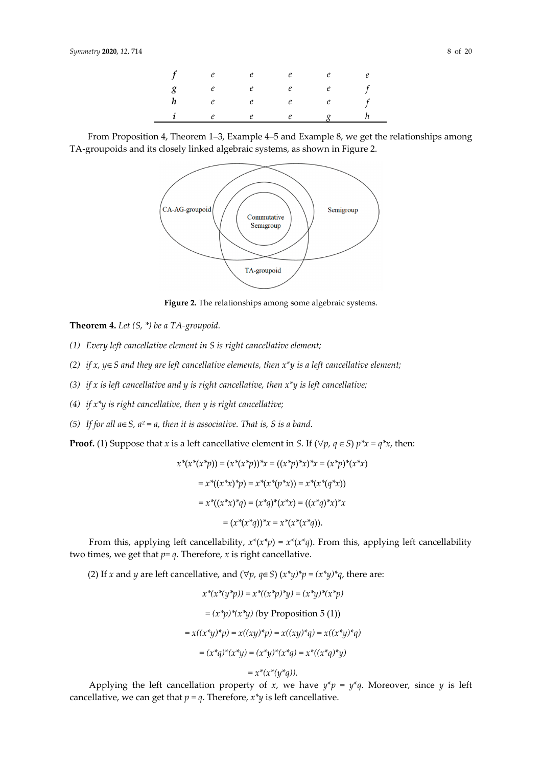|                  | $f$ e e       | e | e |  |
|------------------|---------------|---|---|--|
|                  | $g$ e e e e f |   |   |  |
| $\boldsymbol{h}$ | e e e e f     |   |   |  |
|                  | $i$ e e e $g$ |   |   |  |

|                                                                              | From Proposition 4, Theorem 1–3, Example 4–5 and Example 8, we get the relationships among |  |
|------------------------------------------------------------------------------|--------------------------------------------------------------------------------------------|--|
| TA-groupoids and its closely linked algebraic systems, as shown in Figure 2. |                                                                                            |  |



Figure 2. The relationships among some algebraic systems.

**Theorem 4.** *Let (S, \*) be a TA-groupoid.* 

- *(1) Every left cancellative element in S is right cancellative element;*
- *(2) if x, y*∈*S and they are left cancellative elements, then x\*y is a left cancellative element;*
- *(3) if x is left cancellative and y is right cancellative, then x\*y is left cancellative;*
- *(4) if x\*y is right cancellative, then y is right cancellative;*
- *(5) If for all a*∈*S, a² = a, then it is associative. That is, S is a band.*

**Proof.** (1) Suppose that *x* is a left cancellative element in *S*. If ( $\forall p, q \in S$ )  $p^*x = q^*x$ , then:

$$
x^*(x^*(x^*p)) = (x^*(x^*p))^*x = ((x^*p)^*x)^*x = (x^*p)^*(x^*x)
$$
  
= 
$$
x^*((x^*x)^*p) = x^*(x^*(p^*x)) = x^*(x^*(q^*x))
$$
  
= 
$$
x^*((x^*x)^*q) = (x^*q)^*(x^*x) = ((x^*q)^*x)^*x
$$
  
= 
$$
(x^*(x^*q))^*x = x^*(x^*(x^*q)).
$$

From this, applying left cancellability,  $x^*(x^*p) = x^*(x^*q)$ . From this, applying left cancellability two times, we get that  $p = q$ . Therefore, *x* is right cancellative.

(2) If *x* and *y* are left cancellative, and  $(\forall p, q \in S)$   $(x^*y)^*p = (x^*y)^*q$ , there are:

$$
x^*(x^*(y^*p)) = x^*((x^*p)^*y) = (x^*y)^*(x^*p)
$$
  
=  $(x^*p)^*(x^*y)$  (by Proposition 5 (1))  
=  $x((x^*y)^*p) = x((xy)^*p) = x((xy)^*q) = x((x^*y)^*q)$   
=  $(x^*q)^*(x^*y) = (x^*y)^*(x^*q) = x^*((x^*q)^*y)$ 

$$
= x^*(x^*(y^*q)).
$$

Applying the left cancellation property of *x*, we have  $y^*p = y^*q$ . Moreover, since *y* is left cancellative, we can get that  $p = q$ . Therefore,  $x^*y$  is left cancellative.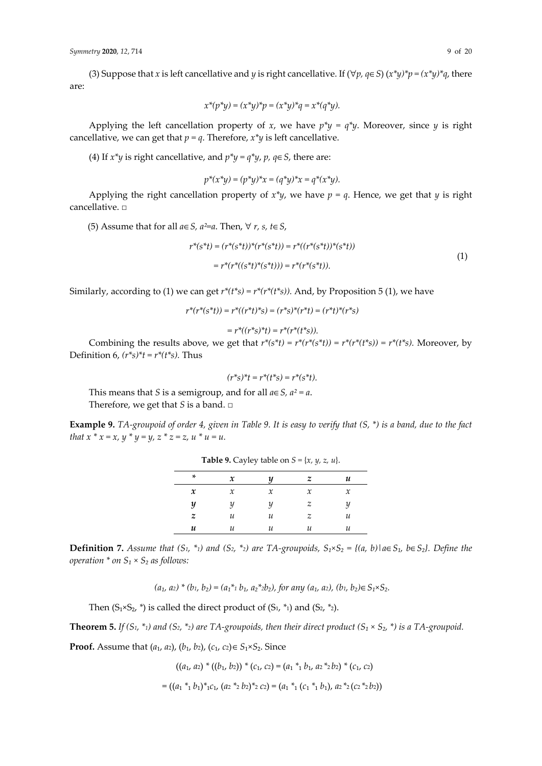(3) Suppose that *x* is left cancellative and *y* is right cancellative. If (∀*p, q*∈*S*) (*x\*y)\*p = (x\*y)\*q*, there are:

$$
x^*(p^*y) = (x^*y)^*p = (x^*y)^*q = x^*(q^*y).
$$

Applying the left cancellation property of *x*, we have  $p^*y = q^*y$ . Moreover, since *y* is right cancellative, we can get that  $p = q$ . Therefore,  $x^*y$  is left cancellative.

(4) If  $x^*y$  is right cancellative, and  $p^*y = q^*y$ ,  $p$ ,  $q \in S$ , there are:

$$
p^*(x^*y) = (p^*y)^*x = (q^*y)^*x = q^*(x^*y).
$$

Applying the right cancellation property of  $x^*y$ , we have  $p = q$ . Hence, we get that *y* is right cancellative. □

(5) Assume that for all *a*∈*S, a²=a*. Then, ∀ *r, s, t*∈*S*,

$$
r^{*}(s^{*}t) = (r^{*}(s^{*}t))^{*}(r^{*}(s^{*}t)) = r^{*}((r^{*}(s^{*}t))^{*}(s^{*}t))
$$
  
= 
$$
r^{*}(r^{*}((s^{*}t)^{*}(s^{*}t))) = r^{*}(r^{*}(s^{*}t)).
$$
 (1)

Similarly, according to (1) we can get  $r^*(t^*s) = r^*(r^*(t^*s))$ . And, by Proposition 5 (1), we have

$$
r^*(r^*(s^*t)) = r^*((r^*t)^*s) = (r^*s)^*(r^*t) = (r^*t)^*(r^*s)
$$

$$
= r^*((r^*s)^*t) = r^*(r^*(t^*s)).
$$

Combining the results above, we get that  $r^*(s^*t) = r^*(r^*(s^*t)) = r^*(r^*(t^*s)) = r^*(t^*s)$ . Moreover, by Definition 6,  $(r<sup>*</sup>s)*t = r<sup>*</sup>(t<sup>*</sup>s)$ . Thus

$$
(r^*s)^*t = r^*(t^*s) = r^*(s^*t).
$$

This means that *S* is a semigroup, and for all *a*∈*S, a² = a*. Therefore, we get that *S* is a band. □

**Example 9.** *TA-groupoid of order 4, given in Table 9. It is easy to verify that (S, \*) is a band, due to the fact that*  $x * x = x$ ,  $y * y = y$ ,  $z * z = z$ ,  $u * u = u$ .

| *                          | $\boldsymbol{\chi}$ |        |               | u             |
|----------------------------|---------------------|--------|---------------|---------------|
| $\boldsymbol{\mathcal{X}}$ | $\mathcal{X}$       | $\chi$ | $\mathcal{X}$ | $\mathcal{X}$ |
| y                          | u                   | ч      | z             | ч             |
| z                          | и                   | и      | z             | и             |
| u                          | и                   | и      | и             | и             |
|                            |                     |        |               |               |

**Table 9.** Cayley table on  $S = \{x, y, z, u\}.$ 

**Definition 7.** Assume that  $(S_1, *_1)$  and  $(S_2, *_2)$  are TA-groupoids,  $S_1 \times S_2 = \{(a, b) | a \in S_1, b \in S_2\}$ . Define the *operation \* on S₁ × S₂ as follows:* 

 $(a_1, a_2) * (b_1, b_2) = (a_1 *_1 b_1, a_2 *_2 b_2)$ , for any  $(a_1, a_2)$ ,  $(b_1, b_2) \in S_1 \times S_2$ .

Then  $(S_1 \times S_2, \ast)$  is called the direct product of  $(S_1, \ast_1)$  and  $(S_2, \ast_2)$ .

**Theorem 5.** *If* (S<sub>1</sub>, \*<sub>1</sub>) and (S<sub>2</sub>, \*<sub>2</sub>) are TA-groupoids, then their direct product (S<sub>1</sub> × S<sub>2</sub>, \*) is a TA-groupoid.

**Proof.** Assume that  $(a_1, a_2)$ ,  $(b_1, b_2)$ ,  $(c_1, c_2) \in S_1 \times S_2$ . Since

 $((a_1, a_2) * ((b_1, b_2)) * (c_1, c_2) = (a_1 *_1 b_1, a_2 *_2 b_2) * (c_1, c_2)$  $= ((a_1 *_1 b_1) *_{1} c_1, (a_2 *_{2} b_2) *_{2} c_2) = (a_1 *_{1} (c_1 *_{1} b_1), a_2 *_{2} (c_2 *_{2} b_2))$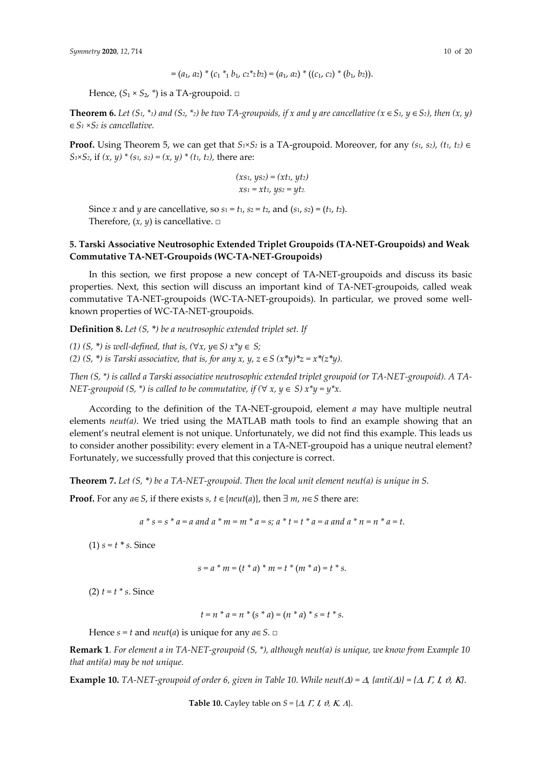$$
= (a_1, a_2) * (c_1 *_1 b_1, c_2 *_2 b_2) = (a_1, a_2) * ((c_1, c_2) * (b_1, b_2)).
$$

Hence,  $(S_1 \times S_2, \ast)$  is a TA-groupoid.  $\Box$ 

**Theorem 6.** *Let*  $(S_1, *_1)$  and  $(S_2, *_2)$  be two TA-groupoids, if x and y are cancellative  $(x \in S_1, y \in S_2)$ , then  $(x, y)$ ∈*S1 ×S2 is cancellative.*

**Proof.** Using Theorem 5, we can get that  $S_1 \times S_2$  is a TA-groupoid. Moreover, for any  $(s_1, s_2)$ ,  $(t_1, t_2) \in$ *S*<sub>1</sub>×*S*<sub>2</sub>, if  $(x, y) * (s_1, s_2) = (x, y) * (t_1, t_2)$ , there are:

$$
(xs1, ys2) = (xt1, yt2)
$$

$$
xs1 = xt1, ys2 = yt2.
$$

Since *x* and *y* are cancellative, so  $s_1 = t_1$ ,  $s_2 = t_2$ , and  $(s_1, s_2) = (t_1, t_2)$ . Therefore,  $(x, y)$  is cancellative.  $\square$ 

# **5. Tarski Associative Neutrosophic Extended Triplet Groupoids (TA-NET-Groupoids) and Weak Commutative TA-NET-Groupoids (WC-TA-NET-Groupoids)**

In this section, we first propose a new concept of TA-NET-groupoids and discuss its basic properties. Next, this section will discuss an important kind of TA-NET-groupoids, called weak commutative TA-NET-groupoids (WC-TA-NET-groupoids). In particular, we proved some wellknown properties of WC-TA-NET-groupoids.

**Definition 8.** *Let (S, \*) be a neutrosophic extended triplet set. If* 

*(1)*  $(S, * )$  *is well-defined, that is,*  $(\forall x, y \in S)$  $x^*y \in S$ *; (2)*  $(S, * )$  *is Tarski associative, that is, for any x, y, z*  $\in S$  $(x * y) * z = x * (z * y)$ *.* 

*Then (S, \*) is called a Tarski associative neutrosophic extended triplet groupoid (or TA-NET-groupoid). A TA-NET-groupoid (S, \*) is called to be commutative, if (* $\forall x, y \in S$ *)*  $x^*y = y^*x$ .

According to the definition of the TA-NET-groupoid, element *a* may have multiple neutral elements *neut(a)*. We tried using the MATLAB math tools to find an example showing that an element's neutral element is not unique. Unfortunately, we did not find this example. This leads us to consider another possibility: every element in a TA-NET-groupoid has a unique neutral element? Fortunately, we successfully proved that this conjecture is correct.

**Theorem 7.** *Let (S, \*) be a TA-NET-groupoid. Then the local unit element neut(a) is unique in S.*

**Proof.** For any *a*∈ *S*, if there exists *s*, *t* ∈ {*neut*(*a*)}, then ∃ *m*, *n*∈ *S* there are:

 $a * s = s * a = a$  and  $a * m = m * a = s$ ;  $a * t = t * a = a$  and  $a * n = n * a = t$ .

(1)  $s = t * s$ . Since

$$
s = a * m = (t * a) * m = t * (m * a) = t * s.
$$

(2) *t = t \* s*. Since

$$
t = n * a = n * (s * a) = (n * a) * s = t * s.
$$

Hence  $s = t$  and *neut*(*a*) is unique for any  $a \in S$ . □

**Remark 1***. For element a in TA-NET-groupoid (S, \*), although neut(a) is unique, we know from Example 10 that anti(a) may be not unique.* 

**Example 10.** TA-NET-groupoid of order 6, given in Table 10. While neut( $\Delta$ ) =  $\Delta$ , {anti( $\Delta$ )} = { $\Delta$ ,  $\Gamma$ ,  $I$ ,  $\vartheta$ , K}.

**Table 10.** Cayley table on  $S = \{ \Delta, \Gamma, \Gamma, \vartheta, \kappa, \Delta \}.$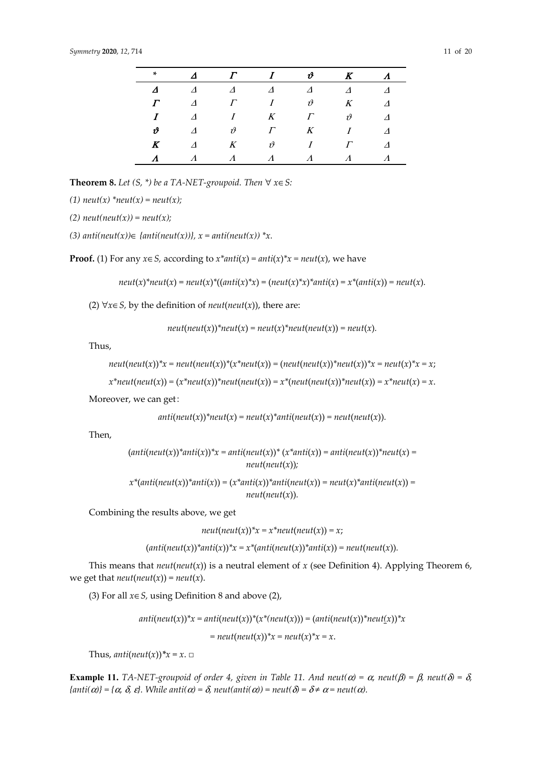| ×                        | $\boldsymbol{\Delta}$ | $\Gamma$              | $\boldsymbol{I}$       | $\boldsymbol{\vartheta}$ | $\boldsymbol{K}$  | $\Lambda$ |
|--------------------------|-----------------------|-----------------------|------------------------|--------------------------|-------------------|-----------|
| $\Delta$                 | $\Delta$              | $\boldsymbol{\Delta}$ | $\Delta$               | $\Delta$                 | $\Lambda$         |           |
|                          | $\Lambda$             | $\Gamma$              | I                      | $\vartheta$              | $K_{\mathcal{C}}$ | $\Lambda$ |
| T                        | $\Delta$              | I                     | K                      | $\Gamma$                 | $\vartheta$       | Δ         |
| $\boldsymbol{\vartheta}$ | $\Lambda$             | $\vartheta$           | $\Gamma$               | K                        | I                 | $\Lambda$ |
| K                        | $\Lambda$             | $K_{\parallel}$       | $\vartheta$            | I                        | $\Gamma$          | $\Lambda$ |
| $\Lambda$                |                       | $\Lambda$             | $\boldsymbol{\Lambda}$ | $\Lambda$                |                   |           |

**Theorem 8.** *Let*  $(S, * )$  *be a TA-NET-groupoid. Then*  $∀ x∈ S$ *:* 

(1)  $neut(x) *neut(x) = neut(x);$ 

$$
(2) neut(neut(x)) = neut(x);
$$

*(3) anti(neut(x))*∈ *{anti(neut(x))}, x = anti(neut(x)) \*x.* 

**Proof.** (1) For any  $x \in S$ , according to  $x^*$  *anti*( $x$ ) *= anti*( $x$ )<sup>\*</sup> $x$  *= neut*( $x$ ), we have

 $neut(x)^*neut(x) = neut(x)^*((anti(x)^*x) = (neut(x)^*x)^*anti(x) = x^*(anti(x)) = neut(x).$ 

(2) ∀*x*∈*S,* by the definition of *neut*(*neut*(*x*)), there are:

$$
neut(new(x))^*neut(x) = neut(x)^*neut(new(x)) = neut(x).
$$

Thus,

$$
neut(neut(x))^*x = neut(neut(x))^*(x^*neut(x)) = (neut(neut(x))^*neut(x))^*x = neut(x)^*x = x;
$$

$$
x^*neut(new(x)) = (x^*neut(x))^*neut(new(x)) = x^*(neut(new(x))^*neut(x)) = x^*neut(x) = x.
$$

Moreover, we can get:

$$
anti(new(x))^*neut(x) = neut(x)^*anti(new(x)) = neut(new(x)).
$$

Then,

$$
(anti(neut(x))^*anti(x))^*x = anti(neut(x))^* (x^*anti(x)) = anti(neut(x))^*neut(x) =
$$
  
neut(neut(x));

$$
x^*(anti(neut(x))^*anti(x)) = (x^*anti(x))^*anti(neut(x)) = neut(x)^*anti(neut(x)) =
$$
  
neut(neut(x)).

Combining the results above, we get

*neut*( $neut(x)$ )\* $x = x$ \* $neut(new(x)) = x$ ;

$$
(anti(neut(x))*anti(x))*x = x*(anti(neut(x))*anti(x)) = neut(neut(x)).
$$

This means that  $neut(new(x))$  is a neutral element of  $x$  (see Definition 4). Applying Theorem 6, we get that  $neut(new(x)) = neut(x)$ .

(3) For all *x*∈*S,* using Definition 8 and above (2),

$$
anti(neut(x))^{*}x = anti(neut(x))^{*}(x^{*}(neut(x))) = (anti(neut(x))^{*}neut(x))^{*}x
$$

$$
= neut(neut(x))^{*}x = neut(x)^{*}x = x.
$$

Thus,  $anti(new(x))$ <sup>\*</sup> $x = x$ . □

**Example 11.** *TA-NET-groupoid of order 4, given in Table 11. And neut(α) =*  $\alpha$ *, neut(β) =*  $\beta$ *, neut(δ) =*  $\delta$ *,*  ${anti(\alpha)} = {\alpha, \delta, \varepsilon}.$  While anti $(\alpha) = \delta$ , neut(anti $(\alpha) =$  neut( $\delta = \delta \neq \alpha =$  neut( $\alpha$ ).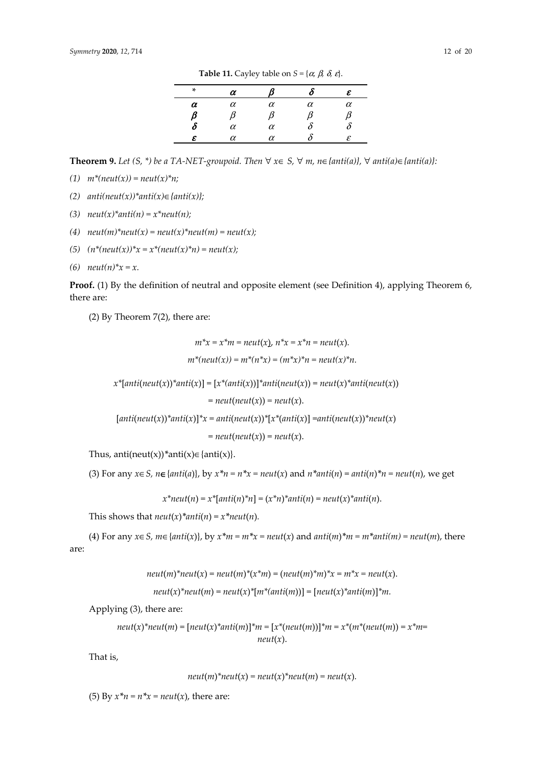**Table 11.** Cayley table on  $S = \{\alpha, \beta, \delta, \varepsilon\}.$ 

**Theorem 9.** *Let* (S, \*) *be a* TA-NET-groupoid. Then  $\forall$   $x \in S$ ,  $\forall$  *m*,  $n \in \{anti(a)\}$ ,  $\forall$  anti(a)∈ {anti(a)}:

*(1) m\*(neut(x)) = neut(x)\*n;* 

- *(2) anti(neut(x))\*anti(x)*∈*{anti(x)};*
- *(3) neut(x)\*anti(n) = x\*neut(n);*
- (4)  $neut(m)*neut(x) = neut(x)*neut(m) = neut(x);$
- *(5) (n\*(neut(x))\*x = x\*(neut(x)\*n) = neut(x);*
- *(6) neut(n)\*x = x.*

**Proof.** (1) By the definition of neutral and opposite element (see Definition 4), applying Theorem 6, there are:

(2) By Theorem 7(2), there are:

$$
m^*x = x^*m = neutr(x), n^*x = x^*n = neutr(x).
$$
  

$$
m^*(neut(x)) = m^*(n^*x) = (m^*x)^*n = neutr(x)^*n.
$$

 $x^*$ [*anti*(*neut*(*x*))<sup>\*</sup>*anti*(*x*)] = [ $x^*$ (*anti*(*x*))]<sup>\*</sup>*anti*(*neut*(*x*)) = *neut*(*x*)<sup>\*</sup>*anti*(*neut*(*x*))

 $=$  *neut*(*neut*(*x*)) = *neut*(*x*).

 $[anti(neut(x))^*anti(x)]^*x = anti(neut(x))^*[x^*(anti(x))] = anti(neut(x))^*neut(x)$ 

 $=$  *neut*(*neut*(*x*)) = *neut*(*x*).

Thus, anti(neut(x))<sup>\*</sup>anti(x) $\in$ {anti(x)}.

(3) For any  $x \in S$ ,  $n \in \{anti(a)\}\$ , by  $x^*n = n^*x = neutr(x)$  and  $n^*anti(n) = anti(n)^*n = neutr(n)$ , we get

 $x^*$ *neut*(*n*) =  $x^*$ [*anti*(*n*)<sup>\*</sup>*n*] =  $(x^*n)^*$ *anti*(*n*) = *neut*(*x*)<sup>\*</sup>*anti*(*n*).

This shows that  $neut(x)$ <sup>\*</sup> $anti(n) = x$ <sup>\*</sup> $neut(n)$ *.* 

(4) For any  $x \in S$ ,  $m \in \{anti(x)\}$ , by  $x^*m = m^*x = neutr(x)$  and  $anti(m)^*m = m^*anti(m) = neutr(m)$ , there

are:

$$
neut(m)^*neut(x) = neut(m)^*(x^*m) = (neut(m)^*m)^*x = m^*x = neut(x).
$$

$$
neut(x)^*neut(m) = neut(x)^*[m^*(anti(m))] = [neut(x)^*anti(m)]^*m.
$$

Applying (3), there are:

$$
neut(x)^*neut(m) = [neut(x)^*anti(m)]^*m = [x^*(neut(m))]^*m = x^*(m^*(neut(m)) = x^*m =
$$
  

$$
neut(x).
$$

That is,

$$
neut(m)^*neut(x) = neut(x)^*neut(m) = neut(x).
$$

(5) By  $x^*n = n^*x = neutr(x)$ , there are: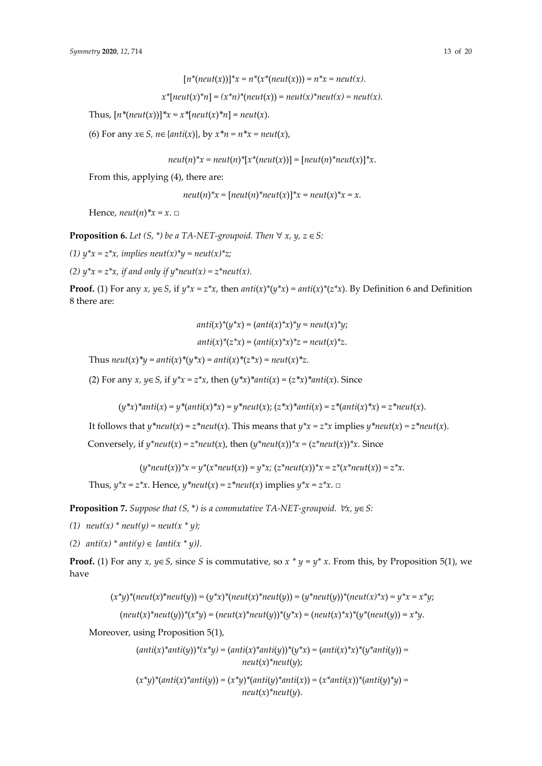$x^*$ [ $neut(x)^*n$ ] =  $(x^*n)^*$ ( $neut(x)$ ) =  $neut(x)^*neut(x)$  =  $neut(x)$ .

Thus,  $[n^*(neut(x))]^*x = x^*[neut(x)^*n] = neut(x)$ .

(6) For any *x*∈*S, n*∈{*anti*(*x*)}, by *x\*n = n\*x = neut*(*x*),

*neut*(*n*)<sup>\*</sup> $x = \text{neut}(n)$ <sup>\*</sup> $[x^*(\text{neut}(x))] = [\text{neut}(n)^* \text{neut}(x)]^*x$ .

From this, applying (4), there are:

*neut*(*n*)<sup>\*</sup>*x* =  $[neut(n)$ <sup>\*</sup>*neut*(*x*)]<sup>\*</sup>*x* = *neut*(*x*)<sup>\*</sup>*x* = *x*.

Hence,  $neut(n)*x = x$ . □

**Proposition 6.** *Let*  $(S, * )$  *be a TA-NET-groupoid. Then*  $\forall x, y, z \in S$ :

*(1) y\*x = z\*x, implies neut(x)\*y = neut(x)\*z;* 

*(2) y\*x = z\*x, if and only if y\*neut(x) = z\*neut(x).* 

**Proof.** (1) For any *x*,  $y \in S$ , if  $y^*x = z^*x$ , then  $anti(x)^*(y^*x) = anti(x)^*(z^*x)$ . By Definition 6 and Definition 8 there are:

$$
anti(x)^*(y^*x) = (anti(x)^*x)^*y = neut(x)^*y;
$$

$$
anti(x)^*(z^*x) = (anti(x)^*x)^*z = neut(x)^*z.
$$

Thus  $neut(x) * y = anti(x) * (y * x) = anti(x) * (z * x) = neutr(x) * z$ .

(2) For any *x*,  $y \in S$ , if  $y^*x = z^*x$ , then  $(y^*x)^*$ *anti* $(x) = (z^*x)^*$ *anti* $(x)$ . Since

$$
(y^*x)^*anti(x) = y^*(anti(x)^*x) = y^*neut(x); (z^*x)^*anti(x) = z^*(anti(x)^*x) = z^*neut(x).
$$

It follows that  $y^*neut(x) = z^*neut(x)$ . This means that  $y^*x = z^*x$  implies  $y^*neut(x) = z^*neut(x)$ .

Conversely, if  $y^*$ *neut*(*x*) =  $z^*$ *neut*(*x*), then  $(y^*$ *neut*(*x*))<sup> $*$ *x*</sup> =  $(z^*$ *neut*(*x*)) $*$ *x*. Since

 $(y^*neut(x))^*x = y^*(x^*neut(x)) = y^*x$ ;  $(z^*neut(x))^*x = z^*(x^*neut(x)) = z^*x$ .

Thus,  $y^*x = z^*x$ . Hence,  $y^*neut(x) = z^*neut(x)$  implies  $y^*x = z^*x$ . □

**Proposition 7.** *Suppose that (S,* \**) is a commutative TA-NET-groupoid.* ∀*x, y*∈*S:* 

*(1)*  $neut(x) * neut(y) = neut(x * y);$ 

(2)  $anti(x) * anti(y) ∈ {anti(x * y)}$ .

**Proof.** (1) For any *x*, *y*∈*S*, since *S* is commutative, so  $x * y = y * x$ . From this, by Proposition 5(1), we have

$$
(x^*y)^*(neut(x)^*neut(y)) = (y^*x)^*(neut(x)^*neut(y)) = (y^*neut(y))^*(neut(x)^*x) = y^*x = x^*y;
$$

$$
(neut(x)^*neut(y))^*(x^*y) = (neut(x)^*neut(y))^*(y^*x) = (neut(x)^*x)^*(y^*(neut(y)) = x^*y.
$$

Moreover, using Proposition 5(1),

$$
(anti(x)^*anti(y))^*(x^*y) = (anti(x)^*anti(y))^*(y^*x) = (anti(x)^*x)^*(y^*anti(y)) =
$$

$$
neut(x)^*neut(y);
$$

$$
(x^*y)^*(anti(x)^*anti(y)) = (x^*y)^*(anti(y)^*anti(x)) = (x^*anti(x))^*(anti(y)^*y) =
$$
  
neut(x)\*neut(y).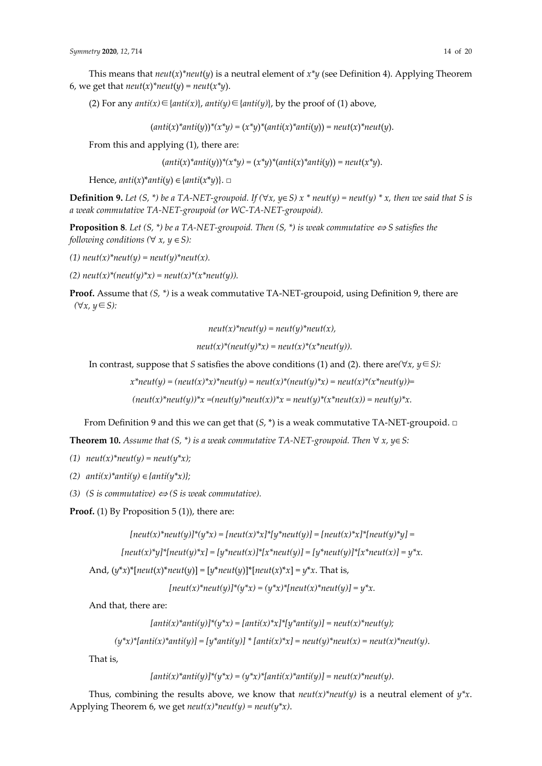This means that  $neut(x)$ <sup>\*</sup> $neut(y)$  is a neutral element of  $x^*y$  (see Definition 4). Applying Theorem 6, we get that  $neut(x)^*neut(y) = neut(x^*y)$ .

(2) For any  $anti(x) \in \{anti(x)\}, anti(y) \in \{anti(y)\},$  by the proof of (1) above,

 $(\text{anti}(x)^\ast \text{anti}(y))^\ast(x^\ast y) = (x^\ast y)^\ast (\text{anti}(x)^\ast \text{anti}(y)) = \text{neut}(x)^\ast \text{neut}(y).$ 

From this and applying (1), there are:

 $(anti(x)*anti(y))*(x)*y) = (x*y)*(anti(x)*anti(y)) = neutr(x*y).$ 

Hence,  $anti(x)^*anti(y) \in \{anti(x^*y)\}. \square$ 

**Definition 9.** Let  $(S, * )$  be a TA-NET-groupoid. If  $(\forall x, y \in S)$  x  $*$  neut(y) = neut(y)  $*$  x, then we said that S is *a weak commutative TA-NET-groupoid (or WC-TA-NET-groupoid).* 

**Proposition 8***. Let (S, \*) be a TA-NET-groupoid. Then (S, \*) is weak commutative*  $\Leftrightarrow$  *S satisfies the following conditions*  $(\forall x, y \in S)$ :

*(1) neut(x)\*neut(y) = neut(y)\*neut(x).* 

*(2) neut(x)\*(neut(y)\*x) = neut(x)\*(x\*neut(y)).* 

**Proof.** Assume that *(S, \*)* is a weak commutative TA-NET-groupoid, using Definition 9, there are *(*∀*x, y*∈*S):*

$$
neut(x)^*neut(y) = neut(y)^*neut(x),
$$

$$
neut(x)^*(neut(y)^*x) = neut(x)^*(x^*neut(y)).
$$

In contrast, suppose that *S* satisfies the above conditions (1) and (2). there are*(*∀*x, y*∈*S):*

 $x^*neut(y) = (neut(x)^*x)^*neut(y) = neut(x)^*(neut(y)^*x) = neut(x)^*(x^*neut(y)) =$ 

 $(\text{neut}(x)^* \text{neut}(y))^* x = (\text{neut}(y)^* \text{neut}(x))^* x = \text{neut}(y)^* (x^* \text{neut}(x)) = \text{neut}(y)^* x.$ 

From Definition 9 and this we can get that (*S*, \*) is a weak commutative TA-NET-groupoid. **□**

**Theorem 10.** *Assume that (S, \*) is a weak commutative TA-NET-groupoid. Then*  $\forall x, y \in S$ :

(1)  $neut(x)*neut(y) = neut(y*x);$ 

- *(2) anti(x)\*anti(y)* ∈*{anti(y\*x)};*
- *(3) (S is commutative)*  $\Leftrightarrow$  *(S is weak commutative).*

**Proof.** (1) By Proposition 5 (1)), there are:

```
[neut(x)^*neut(y)]^*(y^*x) = [neut(x)^*x]^*[y^*neut(y)] = [neut(x)^*x]^*[neut(y)^*y] =
```

```
[neut(x)^*y]^*[neut(y)^*x] = [y^*neut(x)]^*[x^*neut(y)] = [y^*neut(y)]^*[x^*neut(x)] = y^*x.
```
And,  $(y^*x)^*[neut(x)^*neut(y)] = [y^*neut(y)]*[neut(x)^*x] = y^*x$ . That is,

 $[neut(x)^*neut(y)]^*(y^*x) = (y^*x)^*[neut(x)^*neut(y)] = y^*x.$ 

And that, there are:

$$
[anti(x)^*anti(y)]^*(y^*x) = [anti(x)^*x]^*[y^*anti(y)] = neut(x)^*neut(y);
$$

 $(y^*x)^*[anti(x)^*anti(y)] = [y^*anti(y)] * [anti(x)^*x] = neutr(y)^*neut(x) = neutr(x)^*neut(y).$ 

That is,

$$
[anti(x)^*anti(y)]^*(y^*x) = (y^*x)^*[anti(x)^*anti(y)] = neutr(x)^*neut(y).
$$

Thus, combining the results above, we know that  $neut(x)^*neut(y)$  is a neutral element of  $y^*x$ . Applying Theorem 6, we get  $neut(x)^*neut(y) = neut(y^*x)$ .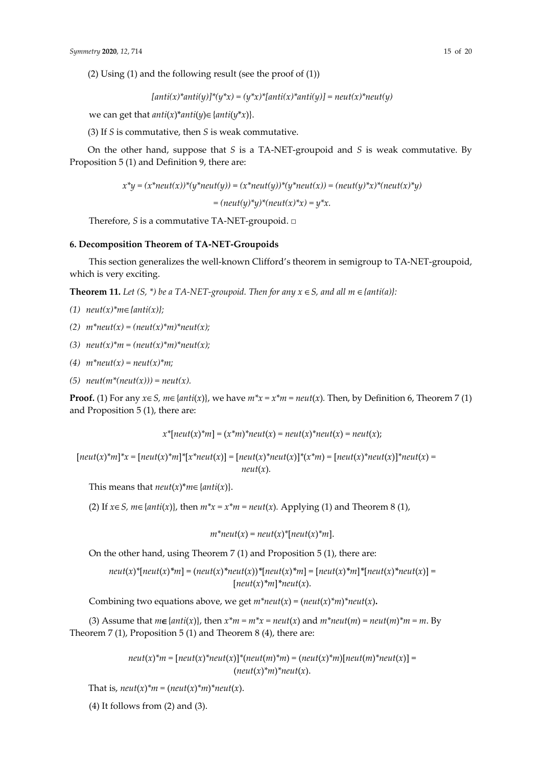(2) Using (1) and the following result (see the proof of (1))

$$
[anti(x)^*anti(y)]^*(y^*x) = (y^*x)^*[anti(x)^*anti(y)] = neutr(x)^*neut(y)
$$

we can get that  $anti(x)*anti(y) \in \{anti(y)*x\}.$ 

(3) If *S* is commutative, then *S* is weak commutative.

On the other hand, suppose that *S* is a TA-NET-groupoid and *S* is weak commutative. By Proposition 5 (1) and Definition 9, there are:

$$
x^*y = (x^*neut(x))^*(y^*neut(y)) = (x^*neut(y))^*(y^*neut(x)) = (neut(y)^*x)^*(neut(x)^*y)
$$

 $= (neut(y)^*y)^*(neut(x)^*x) = y^*x.$ 

Therefore, *S* is a commutative TA-NET-groupoid. □

## **6. Decomposition Theorem of TA-NET-Groupoids**

This section generalizes the well-known Clifford's theorem in semigroup to TA-NET-groupoid, which is very exciting.

**Theorem 11.** *Let*  $(S, * )$  *be a TA-NET-groupoid. Then for any*  $x \in S$ *, and all m*  $\in$  {*anti(a)*}:

- *(1) neut(x)\*m*∈*{anti(x)};*
- *(2) m\*neut(x) = (neut(x)\*m)\*neut(x);*
- *(3) neut(x)\*m = (neut(x)\*m)\*neut(x);*
- *(4) m\*neut(x) = neut(x)\*m;*
- *(5) neut(m\*(neut(x))) = neut(x).*

**Proof.** (1) For any  $x \in S$ ,  $m \in \{anti(x)\}\$ , we have  $m^*x = x^*m = neutr(x)$ . Then, by Definition 6, Theorem 7 (1) and Proposition 5 (1), there are:

$$
x^*[neut(x)^*m] = (x^*m)^*neut(x) = neut(x)^*neut(x) = neut(x);
$$

 $[neut(x)^*m]^*x = [neut(x)^*m]^*[x^*neut(x)] = [neut(x)^*neut(x)]^*(x^*m) = [neut(x)^*neut(x)]^*neut(x) =$  $neut(x)$ .

This means that  $neut(x)^*m \in \{anti(x)\}.$ 

(2) If  $x \in S$ ,  $m \in \{anti(x)\}\)$ , then  $m^*x = x^*m = neutr(x)$ . Applying (1) and Theorem 8 (1),

 $m^*neut(x) = neut(x)^*[neut(x)^*m].$ 

On the other hand, using Theorem 7 (1) and Proposition 5 (1), there are:

$$
neut(x)^*[neut(x)^*m] = (neut(x)^*neut(x))^*[neut(x)^*m] = [neut(x)^*m]^*[neut(x)^*neut(x)] =
$$

$$
[neut(x)^*m]^*[neut(x).
$$

Combining two equations above, we get  $m^*neut(x) = (neut(x)^*m)^*neut(x)$ .

(3) Assume that  $m \in \{anti(x)\},$  then  $x^*m = m^*x = neut(x)$  and  $m^*neut(m) = neut(m)^*m = m$ . By Theorem 7 (1), Proposition 5 (1) and Theorem 8 (4), there are:

> $neut(x)*m = [neut(x)*neut(x)]*(neut(m)*m) = (neut(x)*m)[neut(m)*neut(x)] =$  $(\text{neut}(x)$ <sup>\*</sup>m $)$ <sup>\*</sup>neut(*x*).

That is,  $neut(x)^*m = (neut(x)^*m)^*neut(x)$ .

 $(4)$  It follows from  $(2)$  and  $(3)$ .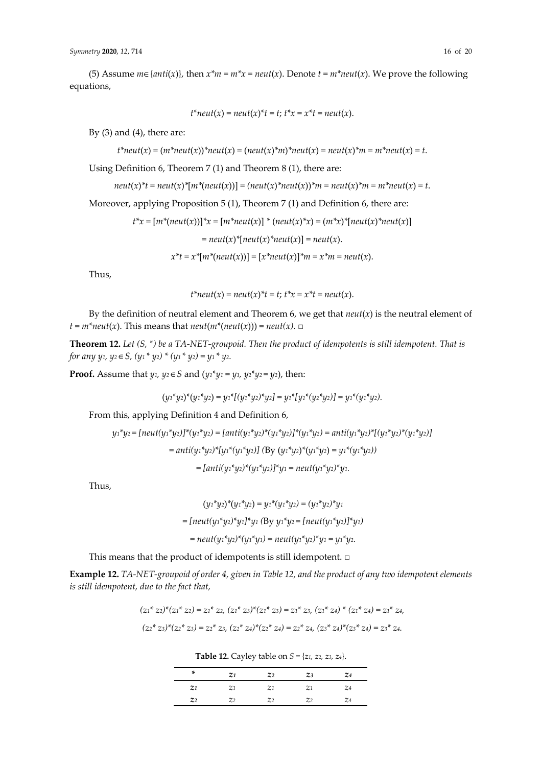(5) Assume  $m \in \{anti(x)\}\)$ , then  $x^*m = m^*x = neut(x)$ . Denote  $t = m^*neut(x)$ . We prove the following equations,

$$
t^*neut(x) = neut(x)^*t = t
$$
;  $t^*x = x^*t = neut(x)$ .

By  $(3)$  and  $(4)$ , there are:

$$
t^*
$$
neut(x) =  $(m^*neut(x))^*$ neut(x) =  $(neut(x)^*m)^*$ neut(x) =  $neut(x)^*m = m^*neut(x) = t$ .

Using Definition 6, Theorem 7 (1) and Theorem 8 (1), there are:

$$
neut(x)^{*}t = neut(x)^{*}[m^{*}(neut(x))] = (neut(x)^{*}neut(x))^{*}m = neut(x)^{*}m = m^{*}neut(x) = t.
$$

Moreover, applying Proposition 5 (1), Theorem 7 (1) and Definition 6, there are:

$$
t^*x = [m^*(neut(x))]^*x = [m^*neut(x)]^* (neut(x)^*x) = (m^*x)^*[neut(x)^*neut(x)]
$$
  
=  $neut(x)^*[neut(x)^*neut(x)] = neut(x).$   

$$
x^*t = x^*[m^*(neut(x))] = [x^*neut(x)]^*m = x^*m = neut(x).
$$

Thus,

$$
t^*neut(x) = neut(x)^*t = t
$$
;  $t^*x = x^*t = neut(x)$ .

By the definition of neutral element and Theorem 6, we get that  $neut(x)$  is the neutral element of  $t = m^*neut(x)$ . This means that  $neut(m^*(neut(x))) = neut(x)$ .  $\Box$ 

**Theorem 12.** *Let (S, \*) be a TA-NET-groupoid. Then the product of idempotents is still idempotent. That is for any y1, y2* ∈*S, (y1 \* y2) \* (y1 \* y2) = y1 \* y2.* 

**Proof.** Assume that *y*<sub>1</sub>, *y*<sub>2</sub> ∈ *S* and (*y*<sub>1</sub><sup>\*</sup>*y*<sub>1</sub> = *y*<sub>1</sub>, *y*<sub>2</sub><sup>\*</sup>*y*<sub>2</sub> = *y*<sub>2</sub>), then:

$$
(y_1^*y_2)^*(y_1^*y_2) = y_1^*[(y_1^*y_2)^*y_2] = y_1^*[y_1^*(y_2^*y_2)] = y_1^*(y_1^*y_2).
$$

From this, applying Definition 4 and Definition 6,

$$
y_1 * y_2 = [neut(y_1 * y_2)] * (y_1 * y_2) = [anti(y_1 * y_2) * (y_1 * y_2)] * (y_1 * y_2) = anti(y_1 * y_2) * [(y_1 * y_2) * (y_1 * y_2)]
$$
  
=  $anti(y_1 * y_2) * [y_1 * (y_1 * y_2)]$  (By  $(y_1 * y_2) * (y_1 * y_2) = y_1 * (y_1 * y_2))$   
=  $[anti(y_1 * y_2) * (y_1 * y_2)] * y_1 = neu(t(y_1 * y_2) * y_1.$ 

Thus,

$$
(y_1^*y_2)^*(y_1^*y_2) = y_1^*(y_1^*y_2) = (y_1^*y_2)^*y_1
$$
  
= [neut(y\_1^\*y\_2)^\*y\_1]^\*y\_1 (By y\_1^\*y\_2 = [neut(y\_1^\*y\_2)]^\*y\_1)  
= neut(y\_1^\*y\_2)^\*(y\_1^\*y\_1) = neut(y\_1^\*y\_2)^\*y\_1 = y\_1^\*y\_2.

This means that the product of idempotents is still idempotent. □

**Example 12.** *TA-NET-groupoid of order 4, given in Table 12, and the product of any two idempotent elements is still idempotent, due to the fact that,* 

$$
(z_1^* z_2)^* (z_1^* z_2) = z_1^* z_2, (z_1^* z_3)^* (z_1^* z_3) = z_1^* z_3, (z_1^* z_4)^* (z_1^* z_4) = z_1^* z_4,
$$
  

$$
(z_2^* z_3)^* (z_2^* z_3) = z_2^* z_3, (z_2^* z_4)^* (z_2^* z_4) = z_2^* z_4, (z_3^* z_4)^* (z_3^* z_4) = z_3^* z_4.
$$

**Table 12.** Cayley table on *S =* {*z1, z2, z3, z4*}.

| ×              | Z <sub>1</sub> | Z <sub>2</sub> | $Z_3$          | $Z_{4}$        |
|----------------|----------------|----------------|----------------|----------------|
| Z <sub>1</sub> | Z <sub>1</sub> | Z <sub>1</sub> | Z <sub>1</sub> | Z <sub>4</sub> |
| Z <sub>2</sub> | Z <sub>2</sub> | Z <sub>2</sub> | Z <sub>2</sub> | $\mathbb{Z}_4$ |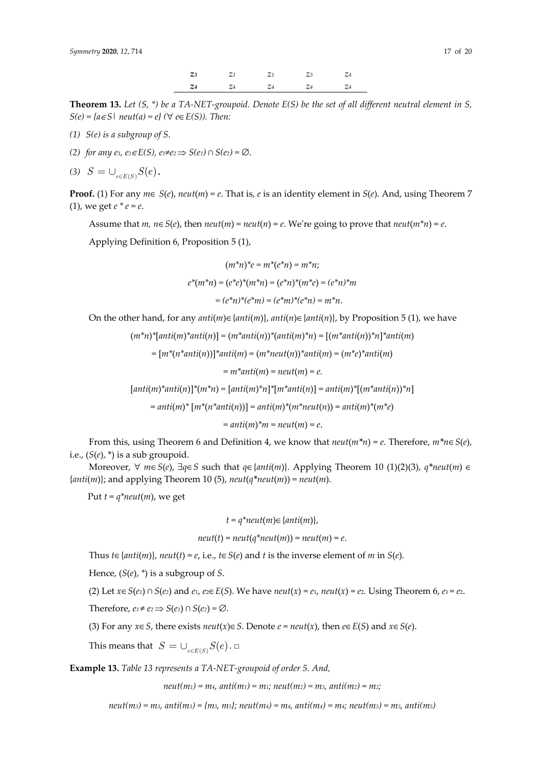**Theorem 13.** *Let (S, \*) be a TA-NET-groupoid. Denote E(S) be the set of all different neutral element in S, S*(*e*) = { $a ∈ S$ | *neut*( $a$ ) =  $e$ } ( $∀$   $e ∈ E(S)$ ). Then:

- *(1) S(e) is a subgroup of S*.
- *(2) for any e<sub>1</sub>, e<sub>2</sub>∈E(S)*, e<sub>1</sub>≠e<sub>2</sub>  $\Rightarrow$  *S*(e<sub>1</sub>)  $\cap$  *S*(e<sub>2</sub>) =  $\emptyset$ .
- (3)  $S = \bigcup_{e \in E(S)} S(e)$ .

**Proof.** (1) For any  $m \in S(e)$ ,  $neut(m) = e$ . That is, *e* is an identity element in *S*(*e*). And, using Theorem 7 (1), we get  $e^* e = e$ .

Assume that  $m, n \in S(e)$ , then  $neut(m) = neut(n) = e$ . We're going to prove that  $neut(m*n) = e$ .

Applying Definition 6, Proposition 5 (1),

$$
(m^*n)^*e = m^*(e^*n) = m^*n;
$$
  

$$
e^*(m^*n) = (e^*e)^*(m^*n) = (e^*n)^*(m^*e) = (e^*n)^*m
$$
  

$$
= (e^*n)^*(e^*m) = (e^*m)^*(e^*n) = m^*n.
$$

On the other hand, for any  $anti(m) \in \{anti(m)\}$ ,  $anti(n) \in \{anti(n)\}$ , by Proposition 5 (1), we have

 $(m^*n)^*$ [*anti*(*m*)<sup>\*</sup>*anti*(*n*)] =  $(m^*anti(n))^*(anti(m)^*n)$  =  $[(m^*anti(n))^*n]^*anti(m)$ 

= [*m\**(*n\*anti*(*n*))]*\*anti*(*m*) = (*m\*neut*(*n*))*\*anti*(*m*) = (*m\*e*)*\*anti*(*m*)

 $= m^*$ *anti*(*m*) = *neut*(*m*) = *e.* 

 $[anti(m)*anti(n)]*(m*n) = [anti(m)*n]*[m*anti(n)] = anti(m)*[ (m*anti(n)) *n]$ 

= *anti*(*m*)*\** [*m\**(*n\*anti*(*n*))] = *anti*(*m*)*\**(*m\*neut*(*n*)) = *anti*(*m*)*\**(*m\*e*)

 $=$   $anti(m)*m = neutr(m) = e$ .

From this, using Theorem 6 and Definition 4, we know that *neut*(*m\*n*) = *e*. Therefore, *m\*n*∈*S*(*e*), i.e.,  $(S(e), *)$  is a sub groupoid.

Moreover, ∀ *m*∈*S*(*e*), ∃*q*∈*S* such that *q*∈{*anti*(*m*)}. Applying Theorem 10 (1)(2)(3), *q\*neut*(*m*) ∈ {*anti*(*m*)}; and applying Theorem 10 (5), *neut*(*q\*neut*(*m*)) = *neut*(*m*).

Put  $t = q^*neut(m)$ , we get

$$
t = q^*neut(m) \in \{anti(m)\},\
$$

$$
neut(t) = neut(q^*neut(m)) = neut(m) = e.
$$

Thus *t*∈{*anti*(*m*)}, *neut*(*t*) = *e*, i.e., *t*∈*S*(*e*) and *t* is the inverse element of *m* in *S*(*e*).

Hence, (*S*(*e*), *\**) is a subgroup of *S*.

(2) Let  $x \in S(e_1) \cap S(e_2)$  and  $e_1$ ,  $e_2 \in E(S)$ . We have  $neut(x) = e_1$ ,  $neut(x) = e_2$ . Using Theorem 6,  $e_1 = e_2$ .

Therefore,  $e_1 \neq e_2 \implies S(e_1) \cap S(e_2) = \emptyset$ .

(3) For any *x*∈*S*, there exists *neut*(*x*)∈*S*. Denote *e* = *neut*(*x*), then *e*∈*E*(*S*) and *x*∈*S*(*e*).

This means that  $S = \bigcup_{e \in E(S)} S(e)$ . □

**Example 13.** *Table 13 represents a TA-NET-groupoid of order 5. And,* 

 $neut(m_1) = m_4$ ,  $anti(m_1) = m_1$ ;  $neut(m_2) = m_3$ ,  $anti(m_2) = m_2$ ;

 $neut(m_3) = m_3$ ,  $anti(m_3) = \{m_3, m_5\}$ ; neut $(m_4) = m_4$ ,  $anti(m_4) = m_4$ ; neut $(m_5) = m_5$ ,  $anti(m_5)$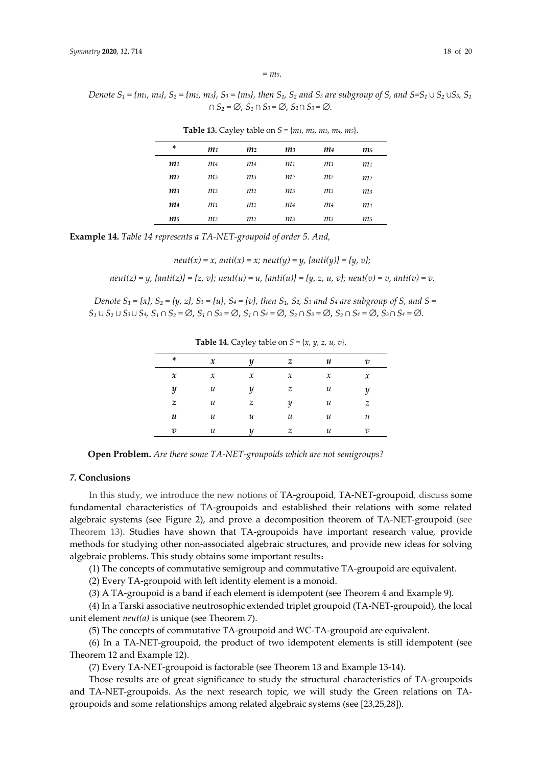*= m5.* 

*Denote*  $S_1 = \{m_1, m_4\}$ ,  $S_2 = \{m_2, m_3\}$ ,  $S_3 = \{m_5\}$ , then  $S_1$ ,  $S_2$  and  $S_3$  are subgroup of S, and  $S = S_1 \cup S_2 \cup S_3$ ,  $S_1$ *∩ S₂ =* ∅, *S₁ ∩ S3 =* ∅, *S2 ∩ S3 =* ∅*.* 

| ×              | m <sub>1</sub> | m <sub>2</sub> | m3             | m4             | m5             |  |
|----------------|----------------|----------------|----------------|----------------|----------------|--|
| m1             | m <sub>4</sub> | m <sub>4</sub> | m <sub>1</sub> | m <sub>1</sub> | m <sub>1</sub> |  |
| m <sub>2</sub> | m <sub>3</sub> | m <sub>3</sub> | m <sub>2</sub> | m <sub>2</sub> | m <sub>2</sub> |  |
| m <sub>3</sub> | m <sub>2</sub> | m <sub>2</sub> | m <sub>3</sub> | m <sub>3</sub> | m <sub>3</sub> |  |
| m4             | m <sub>1</sub> | m <sub>1</sub> | m4             | m4             | m <sub>4</sub> |  |
| m5             | m <sub>2</sub> | m <sub>2</sub> | m <sub>3</sub> | m <sub>3</sub> | m5             |  |
|                |                |                |                |                |                |  |

**Table 13.** Cayley table on *S =* {*m1, m2, m3, m4, m5*}.

**Example 14.** *Table 14 represents a TA-NET-groupoid of order 5. And,* 

*neut*(
$$
x
$$
) =  $x$ , *anti*( $x$ ) =  $x$ ; *neut*( $y$ ) =  $y$ , *{anti*( $y$ )} =  $\{y, v\}$ ;

*neut*(*z*) =  $\gamma$ , { $anti(z)$ } = { $z$ , *v*}; *neut*(*u*) =  $\mu$ , { $anti(u)$ } = { $\gamma$ ,  $z$ ,  $u$ ,  $v$ }; *neut*(*v*) = *v*,  $anti(v)$  = *v*.

*Denote*  $S_1 = \{x\}$ ,  $S_2 = \{y, z\}$ ,  $S_3 = \{u\}$ ,  $S_4 = \{v\}$ , then  $S_1$ ,  $S_2$ ,  $S_3$  and  $S_4$  are subgroup of S, and S =  $S_1 \cup S_2 \cup S_3 \cup S_4$ ,  $S_1 \cap S_2 = \emptyset$ ,  $S_1 \cap S_3 = \emptyset$ ,  $S_1 \cap S_4 = \emptyset$ ,  $S_2 \cap S_3 = \emptyset$ ,  $S_2 \cap S_4 = \emptyset$ ,  $S_3 \cap S_4 = \emptyset$ .

|                            |                     | -<br>-              |                     | $\sim$              |                |  |  |
|----------------------------|---------------------|---------------------|---------------------|---------------------|----------------|--|--|
| ×                          | $\pmb{\chi}$        | y                   | z                   | u                   | $\overline{v}$ |  |  |
| $\pmb{\mathcal{X}}$        | $\boldsymbol{\chi}$ | $\boldsymbol{\chi}$ | $\boldsymbol{\chi}$ | $\boldsymbol{\chi}$ | $\mathcal{X}$  |  |  |
| $\boldsymbol{y}$           | и                   | y                   | z                   | и                   | y              |  |  |
| $\boldsymbol{z}$           | и                   | z                   | y                   | и                   | z              |  |  |
| $\boldsymbol{\mathcal{u}}$ | и                   | и                   | и                   | и                   | и              |  |  |
| $\overline{v}$             | и                   | $\boldsymbol{u}$    | z                   | и                   | $\overline{v}$ |  |  |
|                            |                     |                     |                     |                     |                |  |  |

**Table 14.** Cayley table on  $S = \{x, y, z, u, v\}.$ 

## *7.* **Conclusions**

L.

In this study, we introduce the new notions of TA-groupoid, TA-NET-groupoid, discuss some fundamental characteristics of TA-groupoids and established their relations with some related algebraic systems (see Figure 2), and prove a decomposition theorem of TA-NET-groupoid (see Theorem 13). Studies have shown that TA-groupoids have important research value, provide methods for studying other non-associated algebraic structures, and provide new ideas for solving algebraic problems. This study obtains some important results:

(1) The concepts of commutative semigroup and commutative TA-groupoid are equivalent.

(2) Every TA-groupoid with left identity element is a monoid.

(3) A TA-groupoid is a band if each element is idempotent (see Theorem 4 and Example 9).

(4) In a Tarski associative neutrosophic extended triplet groupoid (TA-NET-groupoid), the local unit element *neut(a)* is unique (see Theorem 7).

(5) The concepts of commutative TA-groupoid and WC-TA-groupoid are equivalent.

(6) In a TA-NET-groupoid, the product of two idempotent elements is still idempotent (see Theorem 12 and Example 12).

(7) Every TA-NET-groupoid is factorable (see Theorem 13 and Example 13-14).

Those results are of great significance to study the structural characteristics of TA-groupoids and TA-NET-groupoids. As the next research topic, we will study the Green relations on TAgroupoids and some relationships among related algebraic systems (see [23,25,28]).

**Open Problem.** *Are there some TA-NET-groupoids which are not semigroups?*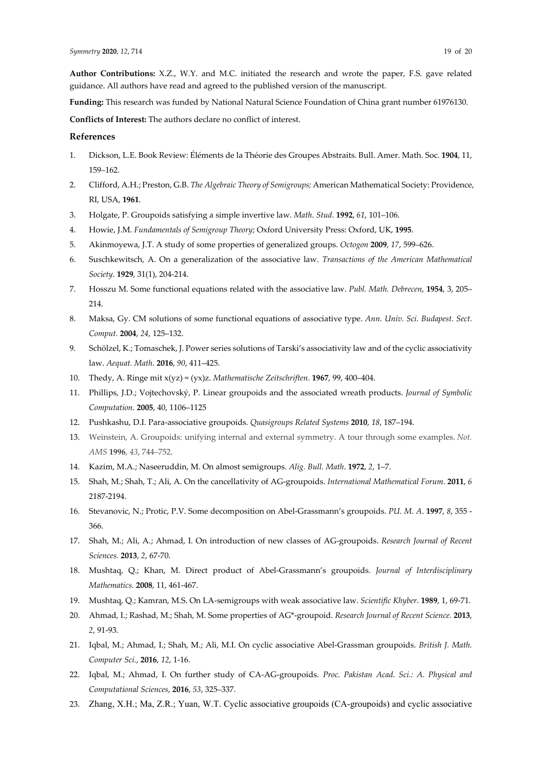**Author Contributions:** X.Z., W.Y. and M.C. initiated the research and wrote the paper, F.S. gave related guidance. All authors have read and agreed to the published version of the manuscript.

**Funding:** This research was funded by National Natural Science Foundation of China grant number 61976130.

**Conflicts of Interest:** The authors declare no conflict of interest.

### **References**

- 1. Dickson, L.E. Book Review: Éléments de la Théorie des Groupes Abstraits. Bull. Amer. Math. Soc. **1904**, 11, 159–162.
- 2. Clifford, A.H.; Preston, G.B. *The Algebraic Theory of Semigroups;* American Mathematical Society: Providence, RI, USA, **1961**.
- 3. Holgate, P. Groupoids satisfying a simple invertive law. *Math*. *Stud*. **1992**, *61*, 101–106.
- 4. Howie, J.M. *Fundamentals of Semigroup Theory*; Oxford University Press: Oxford, UK, **1995**.
- 5. Akinmoyewa, J.T. A study of some properties of generalized groups. *Octogon* **2009**, *17*, 599–626.
- 6. Suschkewitsch, A. On a generalization of the associative law. *Transactions of the American Mathematical Society*. **1929**, 31(1), 204-214.
- 7. Hosszu M. Some functional equations related with the associative law. *Publ. Math. Debrecen*, **1954**, 3, 205– 214.
- 8. Maksa, Gy. CM solutions of some functional equations of associative type. *Ann. Univ. Sci. Budapest. Sect. Comput.* **2004**, *24*, 125–132.
- 9. Schölzel, K.; Tomaschek, J. Power series solutions of Tarski's associativity law and of the cyclic associativity law. *Aequat. Math.* **2016**, *90*, 411–425.
- 10. Thedy, A. Ringe mit x(yz) = (yx)z. *Mathematische Zeitschriften*. **1967**, 99, 400–404.
- 11. Phillips, J.D.; Vojtechovský, P. Linear groupoids and the associated wreath products. *Journal of Symbolic Computation*. **2005**, 40, 1106–1125
- 12. Pushkashu, D.I. Para-associative groupoids. *Quasigroups Related Systems* **2010**, *18*, 187–194.
- 13. Weinstein, A. Groupoids: unifying internal and external symmetry. A tour through some examples. *Not. AMS* **1996**, *43*, 744–752.
- 14. Kazim, M.A.; Naseeruddin, M. On almost semigroups. *Alig. Bull. Math*. **1972**, *2*, 1–7.
- 15. Shah, M.; Shah, T.; Ali, A. On the cancellativity of AG-groupoids. *International Mathematical Forum*. **2011**, *6*  2187-2194.
- 16. Stevanovic, N.; Protic, P.V. Some decomposition on Abel-Grassmann's groupoids. *PU. M. A*. **1997**, *8*, 355 366.
- 17. Shah, M.; Ali, A.; Ahmad, I. On introduction of new classes of AG-groupoids. *Research Journal of Recent Sciences.* **2013**, *2*, 67-70.
- 18. Mushtaq, Q.; Khan, M. Direct product of Abel-Grassmann's groupoids. *Journal of Interdisciplinary Mathematics.* **2008**, 11, 461-467.
- 19. Mushtaq, Q.; Kamran, M.S. On LA-semigroups with weak associative law. *Scientific Khyber*. **1989**, 1, 69-71.
- 20. Ahmad, I.; Rashad, M.; Shah, M. Some properties of AG\*-groupoid. *Research Journal of Recent Science.* **2013**, *2*, 91-93.
- 21. Iqbal, M.; Ahmad, I.; Shah, M.; Ali, M.I. On cyclic associative Abel-Grassman groupoids. *British J. Math. Computer Sci.*, **2016**, *12*, 1-16.
- 22. Iqbal, M.; Ahmad, I. On further study of CA-AG-groupoids. *Proc. Pakistan Acad. Sci.: A. Physical and Computational Sciences*, **2016**, *53*, 325–337.
- 23. Zhang, X.H.; Ma, Z.R.; Yuan, W.T. Cyclic associative groupoids (CA-groupoids) and cyclic associative